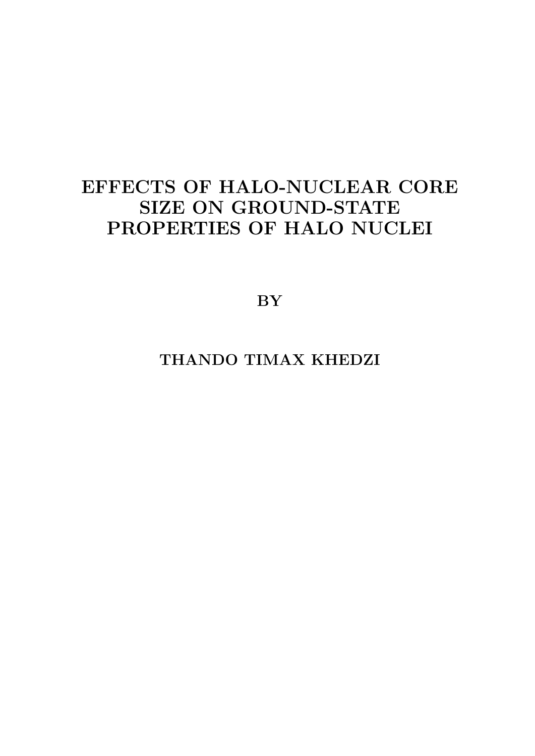### EFFECTS OF HALO-NUCLEAR CORE SIZE ON GROUND-STATE PROPERTIES OF HALO NUCLEI

BY

THANDO TIMAX KHEDZI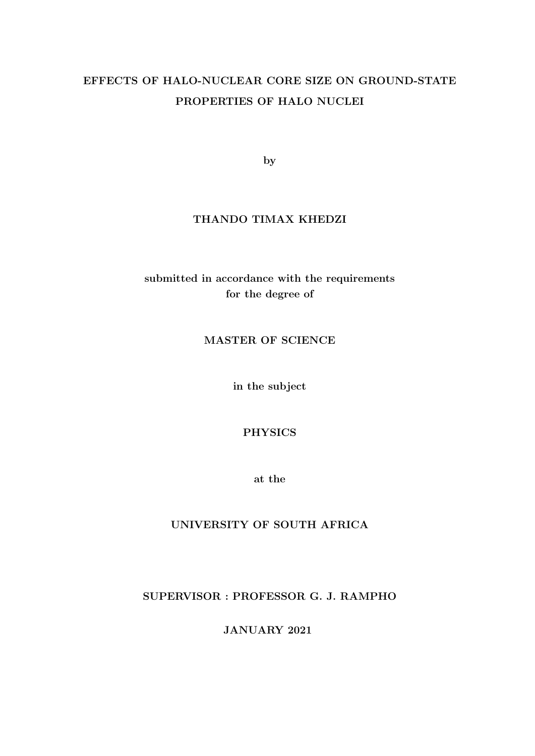### EFFECTS OF HALO-NUCLEAR CORE SIZE ON GROUND-STATE PROPERTIES OF HALO NUCLEI

by

#### THANDO TIMAX KHEDZI

#### submitted in accordance with the requirements for the degree of

#### MASTER OF SCIENCE

in the subject

#### PHYSICS

at the

#### UNIVERSITY OF SOUTH AFRICA

#### SUPERVISOR : PROFESSOR G. J. RAMPHO

JANUARY 2021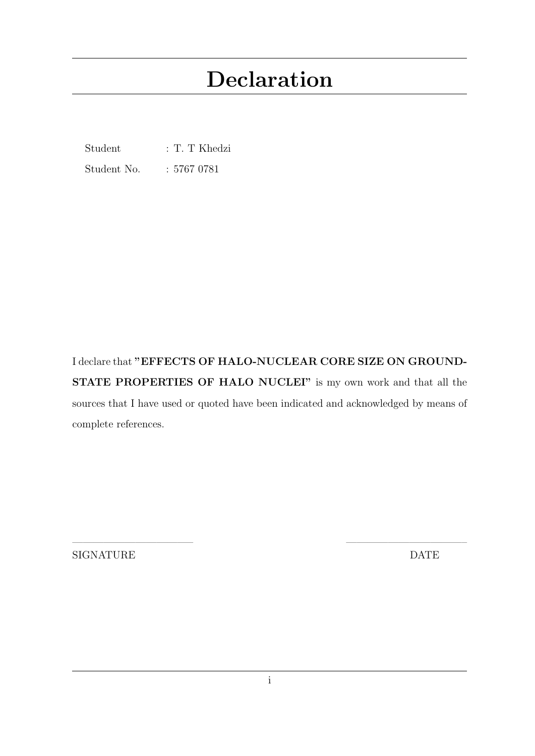# Declaration

Student : T. T Khedzi

Student No. : 5767 0781

I declare that "EFFECTS OF HALO-NUCLEAR CORE SIZE ON GROUND-STATE PROPERTIES OF HALO NUCLEI" is my own work and that all the sources that I have used or quoted have been indicated and acknowledged by means of complete references.

SIGNATURE DATE

———————————– ———————————–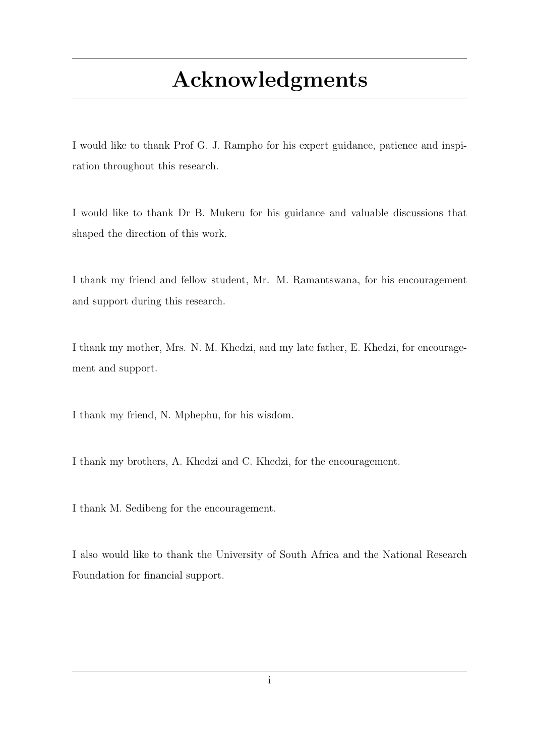# Acknowledgments

I would like to thank Prof G. J. Rampho for his expert guidance, patience and inspiration throughout this research.

I would like to thank Dr B. Mukeru for his guidance and valuable discussions that shaped the direction of this work.

I thank my friend and fellow student, Mr. M. Ramantswana, for his encouragement and support during this research.

I thank my mother, Mrs. N. M. Khedzi, and my late father, E. Khedzi, for encouragement and support.

I thank my friend, N. Mphephu, for his wisdom.

I thank my brothers, A. Khedzi and C. Khedzi, for the encouragement.

I thank M. Sedibeng for the encouragement.

I also would like to thank the University of South Africa and the National Research Foundation for financial support.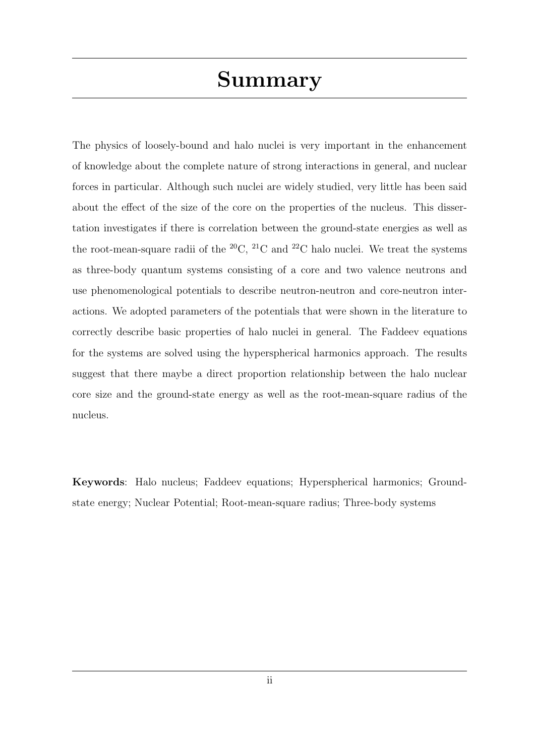The physics of loosely-bound and halo nuclei is very important in the enhancement of knowledge about the complete nature of strong interactions in general, and nuclear forces in particular. Although such nuclei are widely studied, very little has been said about the effect of the size of the core on the properties of the nucleus. This dissertation investigates if there is correlation between the ground-state energies as well as the root-mean-square radii of the  $^{20}C$ ,  $^{21}C$  and  $^{22}C$  halo nuclei. We treat the systems as three-body quantum systems consisting of a core and two valence neutrons and use phenomenological potentials to describe neutron-neutron and core-neutron interactions. We adopted parameters of the potentials that were shown in the literature to correctly describe basic properties of halo nuclei in general. The Faddeev equations for the systems are solved using the hyperspherical harmonics approach. The results suggest that there maybe a direct proportion relationship between the halo nuclear core size and the ground-state energy as well as the root-mean-square radius of the nucleus.

Keywords: Halo nucleus; Faddeev equations; Hyperspherical harmonics; Groundstate energy; Nuclear Potential; Root-mean-square radius; Three-body systems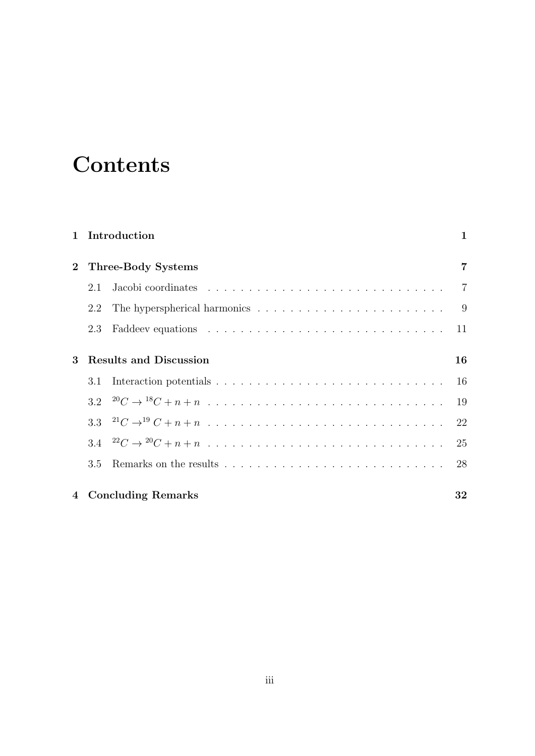# **Contents**

|                |     | 1 Introduction                | $\mathbf{1}$   |
|----------------|-----|-------------------------------|----------------|
| 2 <sup>1</sup> |     | Three-Body Systems            | $\overline{7}$ |
|                | 2.1 |                               | $\overline{7}$ |
|                | 2.2 |                               | 9              |
|                | 2.3 |                               | 11             |
| $\bf{3}$       |     | <b>Results and Discussion</b> | 16             |
|                | 3.1 |                               | 16             |
|                |     |                               | 19             |
|                |     |                               | 22             |
|                |     |                               | 25             |
|                | 3.5 |                               | 28             |
|                |     | 4 Concluding Remarks          | 32             |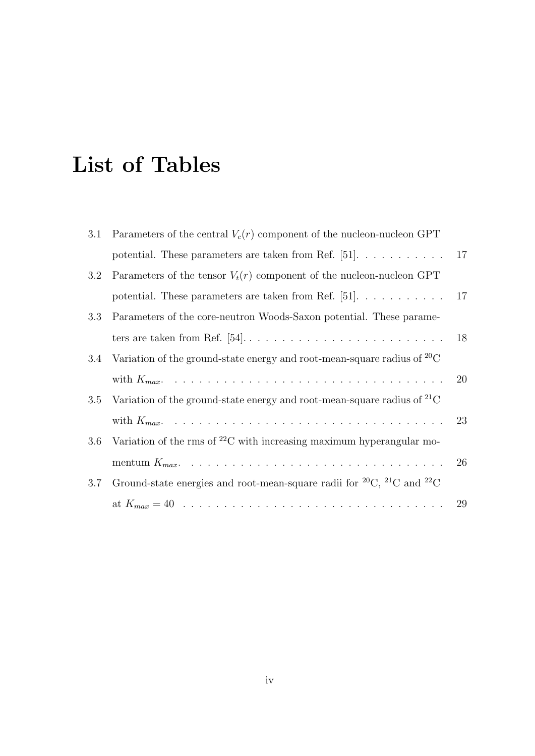# List of Tables

|     | 3.1 Parameters of the central $V_c(r)$ component of the nucleon-nucleon GPT                 |    |
|-----|---------------------------------------------------------------------------------------------|----|
|     | potential. These parameters are taken from Ref. [51]. $\dots \dots \dots$                   | 17 |
| 3.2 | Parameters of the tensor $V_t(r)$ component of the nucleon-nucleon GPT                      |    |
|     | potential. These parameters are taken from Ref. $[51]$ .                                    | 17 |
| 3.3 | Parameters of the core-neutron Woods-Saxon potential. These parame-                         |    |
|     |                                                                                             | 18 |
| 3.4 | Variation of the ground-state energy and root-mean-square radius of ${}^{20}C$              |    |
|     |                                                                                             | 20 |
| 3.5 | Variation of the ground-state energy and root-mean-square radius of ${}^{21}C$              |    |
|     |                                                                                             | 23 |
| 3.6 | Variation of the rms of $^{22}$ C with increasing maximum hyperangular mo-                  |    |
|     |                                                                                             | 26 |
| 3.7 | Ground-state energies and root-mean-square radii for ${}^{20}C$ , ${}^{21}C$ and ${}^{22}C$ |    |
|     |                                                                                             |    |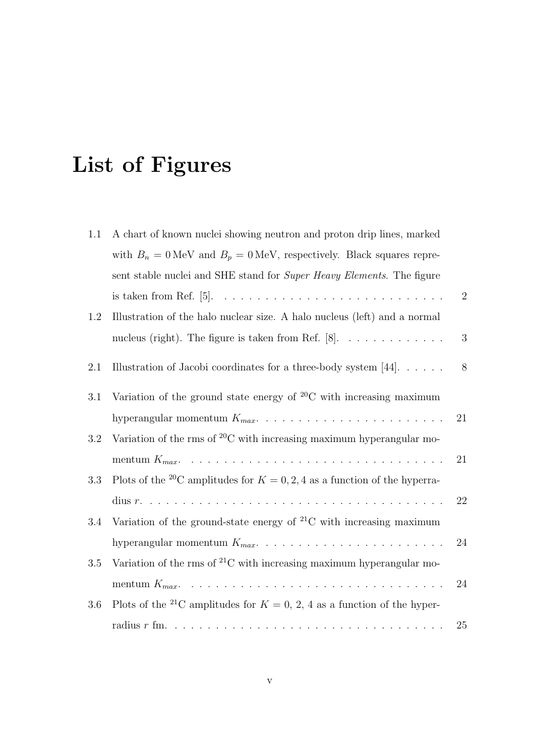# List of Figures

| 1.1     | A chart of known nuclei showing neutron and proton drip lines, marked                         |                  |
|---------|-----------------------------------------------------------------------------------------------|------------------|
|         | with $B_n = 0$ MeV and $B_p = 0$ MeV, respectively. Black squares repre-                      |                  |
|         | sent stable nuclei and SHE stand for Super Heavy Elements. The figure                         |                  |
|         |                                                                                               | $\sqrt{2}$       |
| 1.2     | Illustration of the halo nuclear size. A halo nucleus (left) and a normal                     |                  |
|         |                                                                                               | $\boldsymbol{3}$ |
| $2.1\,$ | Illustration of Jacobi coordinates for a three-body system [44]. $\dots$ .                    | 8                |
| 3.1     | Variation of the ground state energy of $^{20}$ C with increasing maximum                     |                  |
|         |                                                                                               | 21               |
| 3.2     | Variation of the rms of ${}^{20}C$ with increasing maximum hyperangular mo-                   |                  |
|         |                                                                                               | 21               |
| 3.3     | Plots of the <sup>20</sup> C amplitudes for $K = 0, 2, 4$ as a function of the hyperra-       |                  |
|         | dius $r. \ldots \ldots \ldots \ldots \ldots \ldots \ldots \ldots \ldots \ldots \ldots \ldots$ | 22               |
| 3.4     | Variation of the ground-state energy of ${}^{21}C$ with increasing maximum                    |                  |
|         |                                                                                               | 24               |
| 3.5     | Variation of the rms of ${}^{21}C$ with increasing maximum hyperangular mo-                   |                  |
|         |                                                                                               | 24               |
| 3.6     | Plots of the <sup>21</sup> C amplitudes for $K = 0, 2, 4$ as a function of the hyper-         |                  |
|         |                                                                                               | 25               |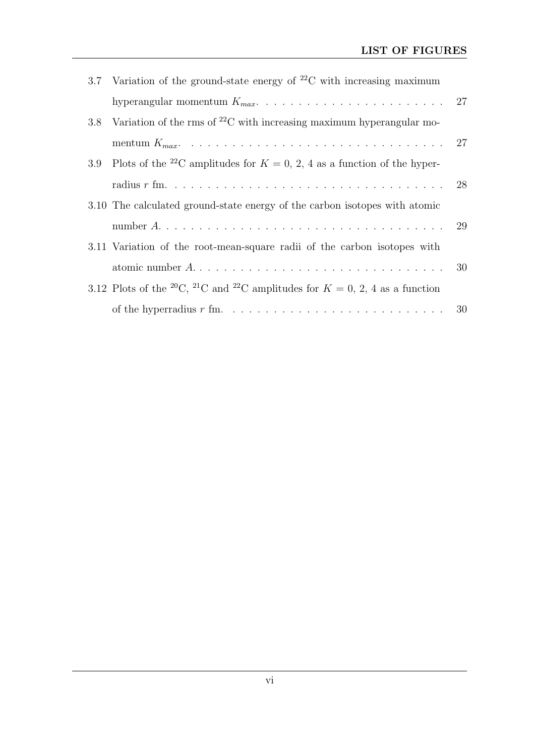|     | 3.7 Variation of the ground-state energy of $^{22}$ C with increasing maximum                                     |  |
|-----|-------------------------------------------------------------------------------------------------------------------|--|
|     |                                                                                                                   |  |
| 3.8 | Variation of the rms of $^{22}$ C with increasing maximum hyperangular mo-                                        |  |
|     |                                                                                                                   |  |
|     | 3.9 Plots of the <sup>22</sup> C amplitudes for $K = 0, 2, 4$ as a function of the hyper-                         |  |
|     |                                                                                                                   |  |
|     | 3.10 The calculated ground-state energy of the carbon isotopes with atomic                                        |  |
|     |                                                                                                                   |  |
|     | 3.11 Variation of the root-mean-square radii of the carbon isotopes with                                          |  |
|     |                                                                                                                   |  |
|     | 3.12 Plots of the <sup>20</sup> C, <sup>21</sup> C and <sup>22</sup> C amplitudes for $K = 0, 2, 4$ as a function |  |
|     |                                                                                                                   |  |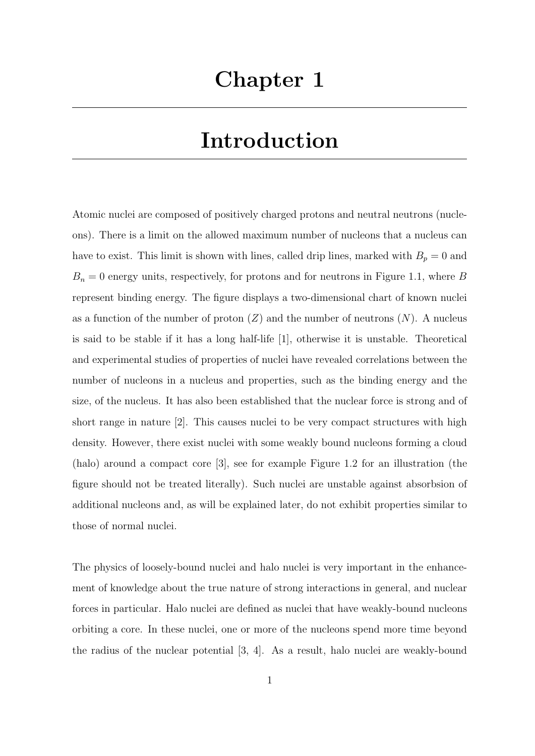# Introduction

Atomic nuclei are composed of positively charged protons and neutral neutrons (nucleons). There is a limit on the allowed maximum number of nucleons that a nucleus can have to exist. This limit is shown with lines, called drip lines, marked with  $B_p = 0$  and  $B_n = 0$  energy units, respectively, for protons and for neutrons in Figure 1.1, where B represent binding energy. The figure displays a two-dimensional chart of known nuclei as a function of the number of proton  $(Z)$  and the number of neutrons  $(N)$ . A nucleus is said to be stable if it has a long half-life [1], otherwise it is unstable. Theoretical and experimental studies of properties of nuclei have revealed correlations between the number of nucleons in a nucleus and properties, such as the binding energy and the size, of the nucleus. It has also been established that the nuclear force is strong and of short range in nature [2]. This causes nuclei to be very compact structures with high density. However, there exist nuclei with some weakly bound nucleons forming a cloud (halo) around a compact core [3], see for example Figure 1.2 for an illustration (the figure should not be treated literally). Such nuclei are unstable against absorbsion of additional nucleons and, as will be explained later, do not exhibit properties similar to those of normal nuclei.

The physics of loosely-bound nuclei and halo nuclei is very important in the enhancement of knowledge about the true nature of strong interactions in general, and nuclear forces in particular. Halo nuclei are defined as nuclei that have weakly-bound nucleons orbiting a core. In these nuclei, one or more of the nucleons spend more time beyond the radius of the nuclear potential [3, 4]. As a result, halo nuclei are weakly-bound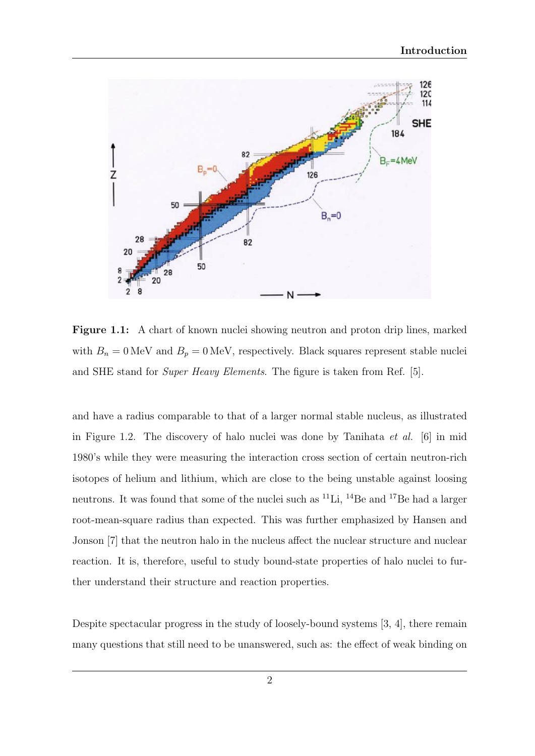

Figure 1.1: A chart of known nuclei showing neutron and proton drip lines, marked with  $B_n = 0$  MeV and  $B_p = 0$  MeV, respectively. Black squares represent stable nuclei and SHE stand for Super Heavy Elements. The figure is taken from Ref. [5].

and have a radius comparable to that of a larger normal stable nucleus, as illustrated in Figure 1.2. The discovery of halo nuclei was done by Tanihata et al. [6] in mid 1980's while they were measuring the interaction cross section of certain neutron-rich isotopes of helium and lithium, which are close to the being unstable against loosing neutrons. It was found that some of the nuclei such as  ${}^{11}\mathrm{Li}$ ,  ${}^{14}\mathrm{Be}$  and  ${}^{17}\mathrm{Be}$  had a larger root-mean-square radius than expected. This was further emphasized by Hansen and Jonson [7] that the neutron halo in the nucleus affect the nuclear structure and nuclear reaction. It is, therefore, useful to study bound-state properties of halo nuclei to further understand their structure and reaction properties.

Despite spectacular progress in the study of loosely-bound systems [3, 4], there remain many questions that still need to be unanswered, such as: the effect of weak binding on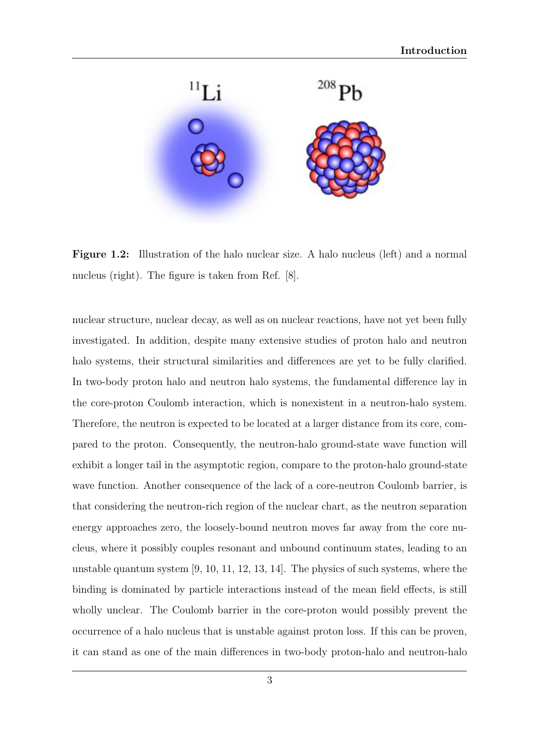

Figure 1.2: Illustration of the halo nuclear size. A halo nucleus (left) and a normal nucleus (right). The figure is taken from Ref. [8].

nuclear structure, nuclear decay, as well as on nuclear reactions, have not yet been fully investigated. In addition, despite many extensive studies of proton halo and neutron halo systems, their structural similarities and differences are yet to be fully clarified. In two-body proton halo and neutron halo systems, the fundamental difference lay in the core-proton Coulomb interaction, which is nonexistent in a neutron-halo system. Therefore, the neutron is expected to be located at a larger distance from its core, compared to the proton. Consequently, the neutron-halo ground-state wave function will exhibit a longer tail in the asymptotic region, compare to the proton-halo ground-state wave function. Another consequence of the lack of a core-neutron Coulomb barrier, is that considering the neutron-rich region of the nuclear chart, as the neutron separation energy approaches zero, the loosely-bound neutron moves far away from the core nucleus, where it possibly couples resonant and unbound continuum states, leading to an unstable quantum system [9, 10, 11, 12, 13, 14]. The physics of such systems, where the binding is dominated by particle interactions instead of the mean field effects, is still wholly unclear. The Coulomb barrier in the core-proton would possibly prevent the occurrence of a halo nucleus that is unstable against proton loss. If this can be proven, it can stand as one of the main differences in two-body proton-halo and neutron-halo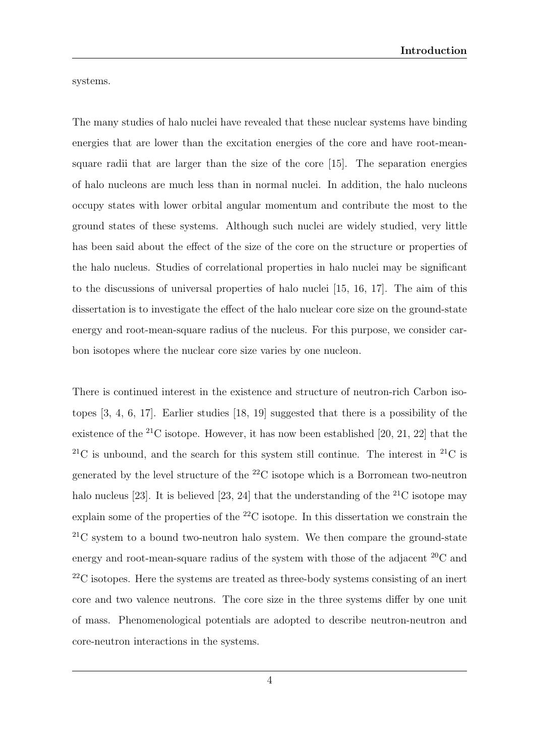systems.

The many studies of halo nuclei have revealed that these nuclear systems have binding energies that are lower than the excitation energies of the core and have root-meansquare radii that are larger than the size of the core [15]. The separation energies of halo nucleons are much less than in normal nuclei. In addition, the halo nucleons occupy states with lower orbital angular momentum and contribute the most to the ground states of these systems. Although such nuclei are widely studied, very little has been said about the effect of the size of the core on the structure or properties of the halo nucleus. Studies of correlational properties in halo nuclei may be significant to the discussions of universal properties of halo nuclei [15, 16, 17]. The aim of this dissertation is to investigate the effect of the halo nuclear core size on the ground-state energy and root-mean-square radius of the nucleus. For this purpose, we consider carbon isotopes where the nuclear core size varies by one nucleon.

There is continued interest in the existence and structure of neutron-rich Carbon isotopes [3, 4, 6, 17]. Earlier studies [18, 19] suggested that there is a possibility of the existence of the  $^{21}$ C isotope. However, it has now been established [20, 21, 22] that the <sup>21</sup>C is unbound, and the search for this system still continue. The interest in <sup>21</sup>C is generated by the level structure of the  $^{22}$ C isotope which is a Borromean two-neutron halo nucleus [23]. It is believed [23, 24] that the understanding of the  $^{21}$ C isotope may explain some of the properties of the <sup>22</sup>C isotope. In this dissertation we constrain the  ${}^{21}$ C system to a bound two-neutron halo system. We then compare the ground-state energy and root-mean-square radius of the system with those of the adjacent  ${}^{20}$ C and  $22^2$ C isotopes. Here the systems are treated as three-body systems consisting of an inert core and two valence neutrons. The core size in the three systems differ by one unit of mass. Phenomenological potentials are adopted to describe neutron-neutron and core-neutron interactions in the systems.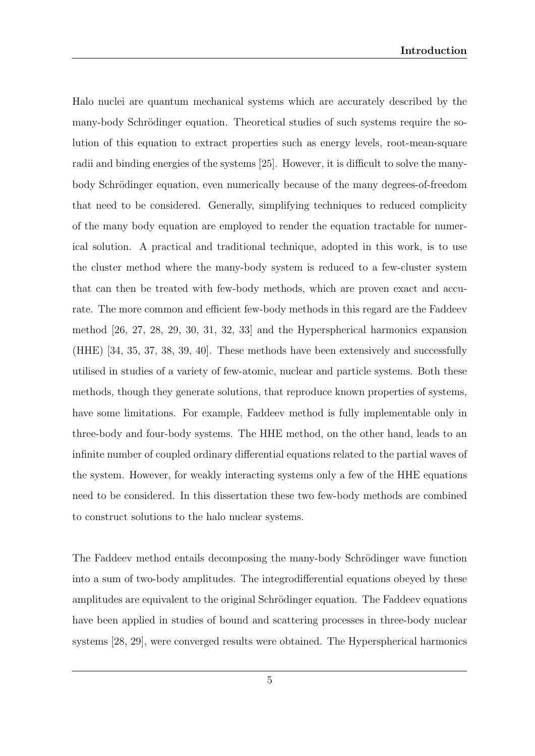Halo nuclei are quantum mechanical systems which are accurately described by the many-body Schrödinger equation. Theoretical studies of such systems require the solution of this equation to extract properties such as energy levels, root-mean-square radii and binding energies of the systems [25]. However, it is difficult to solve the manybody Schrödinger equation, even numerically because of the many degrees-of-freedom that need to be considered. Generally, simplifying techniques to reduced complicity of the many body equation are employed to render the equation tractable for numerical solution. A practical and traditional technique, adopted in this work, is to use the cluster method where the many-body system is reduced to a few-cluster system that can then be treated with few-body methods, which are proven exact and accurate. The more common and efficient few-body methods in this regard are the Faddeev method [26, 27, 28, 29, 30, 31, 32, 33] and the Hyperspherical harmonics expansion (HHE) [34, 35, 37, 38, 39, 40]. These methods have been extensively and successfully utilised in studies of a variety of few-atomic, nuclear and particle systems. Both these methods, though they generate solutions, that reproduce known properties of systems, have some limitations. For example, Faddeev method is fully implementable only in three-body and four-body systems. The HHE method, on the other hand, leads to an infinite number of coupled ordinary differential equations related to the partial waves of the system. However, for weakly interacting systems only a few of the HHE equations need to be considered. In this dissertation these two few-body methods are combined to construct solutions to the halo nuclear systems.

The Faddeev method entails decomposing the many-body Schrödinger wave function into a sum of two-body amplitudes. The integrodifferential equations obeyed by these amplitudes are equivalent to the original Schrödinger equation. The Faddeev equations have been applied in studies of bound and scattering processes in three-body nuclear systems [28, 29], were converged results were obtained. The Hyperspherical harmonics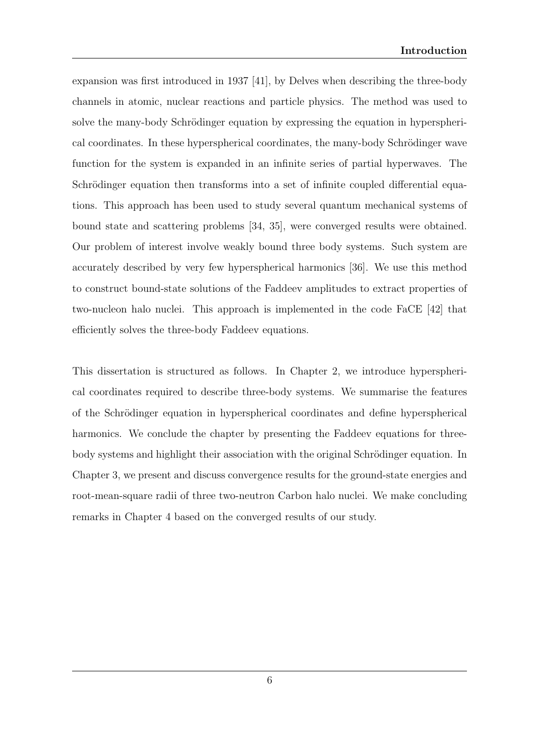expansion was first introduced in 1937 [41], by Delves when describing the three-body channels in atomic, nuclear reactions and particle physics. The method was used to solve the many-body Schrödinger equation by expressing the equation in hyperspherical coordinates. In these hyperspherical coordinates, the many-body Schrödinger wave function for the system is expanded in an infinite series of partial hyperwaves. The Schrödinger equation then transforms into a set of infinite coupled differential equations. This approach has been used to study several quantum mechanical systems of bound state and scattering problems [34, 35], were converged results were obtained. Our problem of interest involve weakly bound three body systems. Such system are accurately described by very few hyperspherical harmonics [36]. We use this method to construct bound-state solutions of the Faddeev amplitudes to extract properties of two-nucleon halo nuclei. This approach is implemented in the code FaCE [42] that efficiently solves the three-body Faddeev equations.

This dissertation is structured as follows. In Chapter 2, we introduce hyperspherical coordinates required to describe three-body systems. We summarise the features of the Schrödinger equation in hyperspherical coordinates and define hyperspherical harmonics. We conclude the chapter by presenting the Faddeev equations for threebody systems and highlight their association with the original Schrödinger equation. In Chapter 3, we present and discuss convergence results for the ground-state energies and root-mean-square radii of three two-neutron Carbon halo nuclei. We make concluding remarks in Chapter 4 based on the converged results of our study.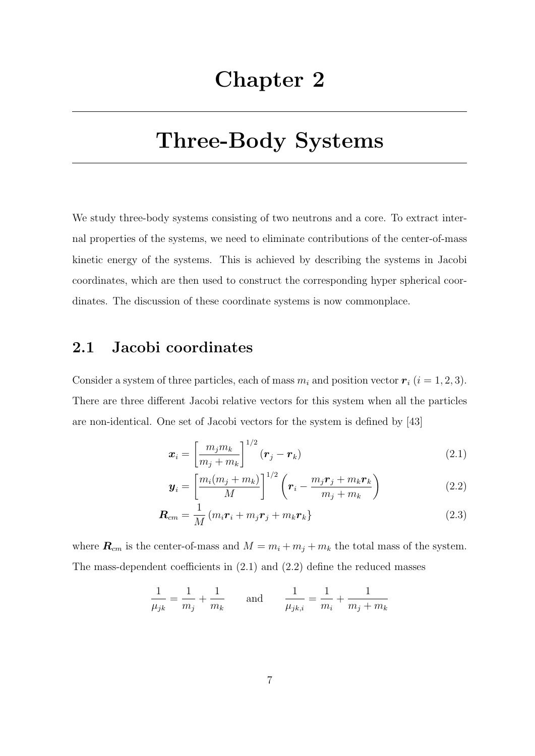## Three-Body Systems

We study three-body systems consisting of two neutrons and a core. To extract internal properties of the systems, we need to eliminate contributions of the center-of-mass kinetic energy of the systems. This is achieved by describing the systems in Jacobi coordinates, which are then used to construct the corresponding hyper spherical coordinates. The discussion of these coordinate systems is now commonplace.

#### 2.1 Jacobi coordinates

Consider a system of three particles, each of mass  $m_i$  and position vector  $\boldsymbol{r}_i$  ( $i = 1, 2, 3$ ). There are three different Jacobi relative vectors for this system when all the particles are non-identical. One set of Jacobi vectors for the system is defined by [43]

$$
\boldsymbol{x}_{i} = \left[\frac{m_{j}m_{k}}{m_{j}+m_{k}}\right]^{1/2}(\boldsymbol{r}_{j}-\boldsymbol{r}_{k})
$$
\n(2.1)

$$
\boldsymbol{y}_i = \left[\frac{m_i(m_j + m_k)}{M}\right]^{1/2} \left(\boldsymbol{r}_i - \frac{m_j \boldsymbol{r}_j + m_k \boldsymbol{r}_k}{m_j + m_k}\right) \tag{2.2}
$$

$$
\boldsymbol{R}_{cm} = \frac{1}{M} \left( m_i \boldsymbol{r}_i + m_j \boldsymbol{r}_j + m_k \boldsymbol{r}_k \right)
$$
 (2.3)

where  $\mathbf{R}_{cm}$  is the center-of-mass and  $M = m_i + m_j + m_k$  the total mass of the system. The mass-dependent coefficients in (2.1) and (2.2) define the reduced masses

$$
\frac{1}{\mu_{jk}} = \frac{1}{m_j} + \frac{1}{m_k} \quad \text{and} \quad \frac{1}{\mu_{jk,i}} = \frac{1}{m_i} + \frac{1}{m_j + m_k}
$$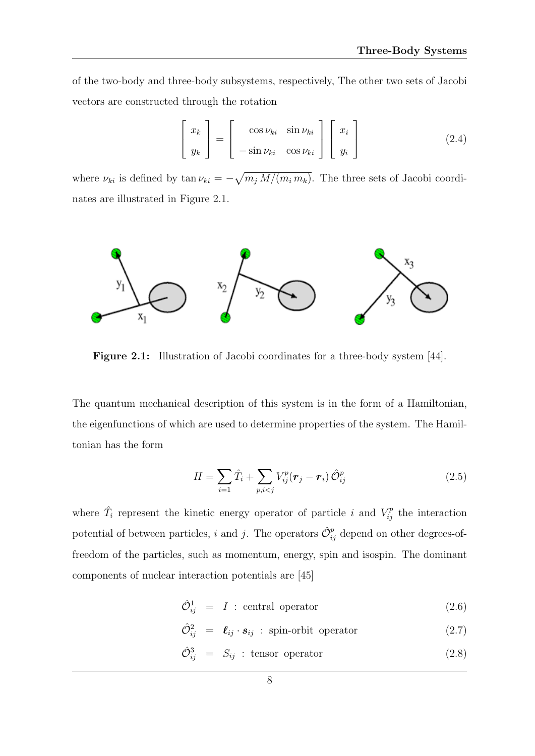of the two-body and three-body subsystems, respectively, The other two sets of Jacobi vectors are constructed through the rotation

$$
\begin{bmatrix} x_k \\ y_k \end{bmatrix} = \begin{bmatrix} \cos \nu_{ki} & \sin \nu_{ki} \\ -\sin \nu_{ki} & \cos \nu_{ki} \end{bmatrix} \begin{bmatrix} x_i \\ y_i \end{bmatrix}
$$
 (2.4)

where  $\nu_{ki}$  is defined by  $\tan \nu_{ki} = -\sqrt{m_j M/(m_i m_k)}$ . The three sets of Jacobi coordinates are illustrated in Figure 2.1.



Figure 2.1: Illustration of Jacobi coordinates for a three-body system [44].

The quantum mechanical description of this system is in the form of a Hamiltonian, the eigenfunctions of which are used to determine properties of the system. The Hamiltonian has the form

$$
H = \sum_{i=1} \hat{T}_i + \sum_{p,i < j} V_{ij}^p(\mathbf{r}_j - \mathbf{r}_i) \hat{O}_{ij}^p \tag{2.5}
$$

where  $\hat{T}_i$  represent the kinetic energy operator of particle i and  $V_{ij}^p$  the interaction potential of between particles, i and j. The operators  $\hat{\mathcal{O}}_{ij}^p$  depend on other degrees-offreedom of the particles, such as momentum, energy, spin and isospin. The dominant components of nuclear interaction potentials are [45]

$$
\hat{\mathcal{O}}_{ij}^1 = I : \text{central operator} \tag{2.6}
$$

 $\hat{\mathcal{O}}_{ij}^2 = \mathcal{L}_{ij} \cdot \mathbf{s}_{ij}$ : spin-orbit operator (2.7)

$$
\hat{\mathcal{O}}_{ij}^3 = S_{ij} : \text{tensor operator} \tag{2.8}
$$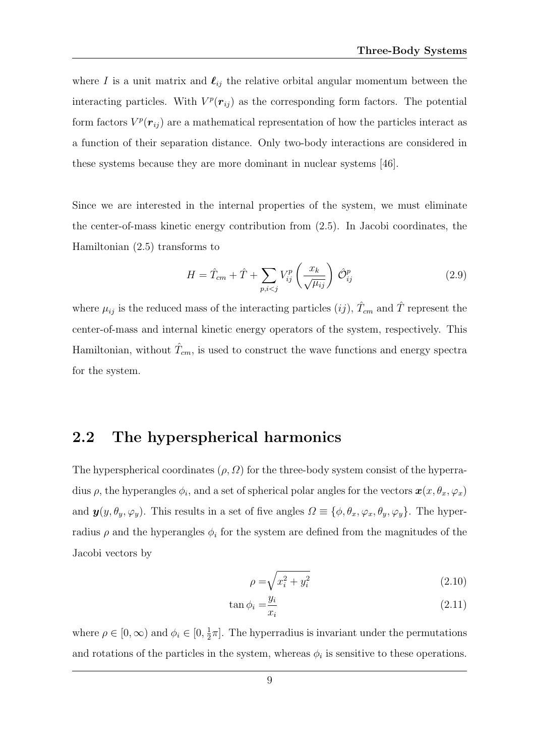where I is a unit matrix and  $\ell_{ij}$  the relative orbital angular momentum between the interacting particles. With  $V^p(\mathbf{r}_{ij})$  as the corresponding form factors. The potential form factors  $V^p(\mathbf{r}_{ij})$  are a mathematical representation of how the particles interact as a function of their separation distance. Only two-body interactions are considered in these systems because they are more dominant in nuclear systems [46].

Since we are interested in the internal properties of the system, we must eliminate the center-of-mass kinetic energy contribution from (2.5). In Jacobi coordinates, the Hamiltonian (2.5) transforms to

$$
H = \hat{T}_{cm} + \hat{T} + \sum_{p,i < j} V_{ij}^p \left(\frac{x_k}{\sqrt{\mu_{ij}}}\right) \hat{\mathcal{O}}_{ij}^p \tag{2.9}
$$

where  $\mu_{ij}$  is the reduced mass of the interacting particles  $(ij)$ ,  $\hat{T}_{cm}$  and  $\hat{T}$  represent the center-of-mass and internal kinetic energy operators of the system, respectively. This Hamiltonian, without  $\hat{T}_{cm}$ , is used to construct the wave functions and energy spectra for the system.

#### 2.2 The hyperspherical harmonics

The hyperspherical coordinates  $(\rho, \Omega)$  for the three-body system consist of the hyperradius  $\rho$ , the hyperangles  $\phi_i$ , and a set of spherical polar angles for the vectors  $\bm{x}(x, \theta_x, \varphi_x)$ and  $\mathbf{y}(y, \theta_y, \varphi_y)$ . This results in a set of five angles  $\Omega \equiv \{\phi, \theta_x, \varphi_x, \theta_y, \varphi_y\}$ . The hyperradius  $\rho$  and the hyperangles  $\phi_i$  for the system are defined from the magnitudes of the Jacobi vectors by

$$
\rho = \sqrt{x_i^2 + y_i^2} \tag{2.10}
$$

$$
\tan \phi_i = \frac{y_i}{x_i} \tag{2.11}
$$

where  $\rho \in [0, \infty)$  and  $\phi_i \in [0, \frac{1}{2}]$  $\frac{1}{2}\pi$ . The hyperradius is invariant under the permutations and rotations of the particles in the system, whereas  $\phi_i$  is sensitive to these operations.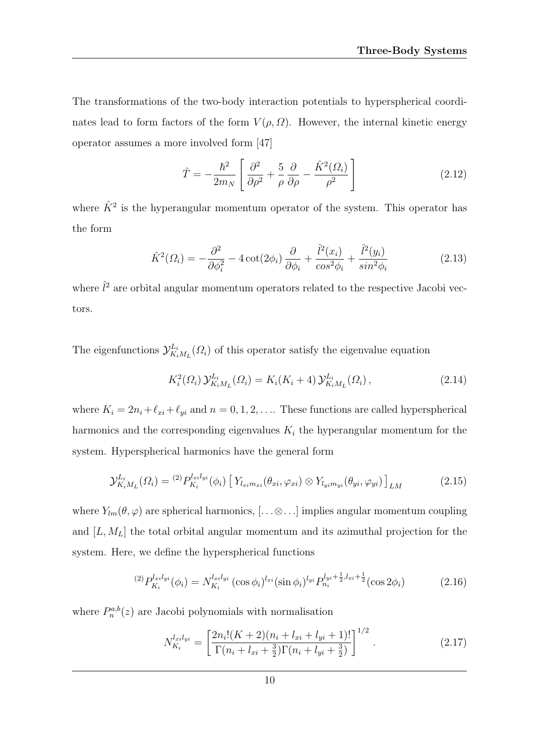The transformations of the two-body interaction potentials to hyperspherical coordinates lead to form factors of the form  $V(\rho, \Omega)$ . However, the internal kinetic energy operator assumes a more involved form [47]

$$
\hat{T} = -\frac{\hbar^2}{2m_N} \left[ \frac{\partial^2}{\partial \rho^2} + \frac{5}{\rho} \frac{\partial}{\partial \rho} - \frac{\hat{K}^2(\Omega_i)}{\rho^2} \right]
$$
\n(2.12)

where  $\hat{K}^2$  is the hyperangular momentum operator of the system. This operator has the form

$$
\hat{K}^2(\Omega_i) = -\frac{\partial^2}{\partial \phi_i^2} - 4 \cot(2\phi_i) \frac{\partial}{\partial \phi_i} + \frac{\hat{l}^2(x_i)}{\cos^2 \phi_i} + \frac{\hat{l}^2(y_i)}{\sin^2 \phi_i}
$$
(2.13)

where  $\hat{l}^2$  are orbital angular momentum operators related to the respective Jacobi vectors.

The eigenfunctions  $\mathcal{Y}_{K_i}^{L_i}$  $K_{i}^{L_i}(\Omega_i)$  of this operator satisfy the eigenvalue equation

$$
K_i^2(\Omega_i) \mathcal{Y}_{K_iM_L}^{L_i}(\Omega_i) = K_i(K_i + 4) \mathcal{Y}_{K_iM_L}^{L_i}(\Omega_i), \qquad (2.14)
$$

where  $K_i = 2n_i+\ell_{xi}+\ell_{yi}$  and  $n = 0, 1, 2, \ldots$  These functions are called hyperspherical harmonics and the corresponding eigenvalues  $K_i$  the hyperangular momentum for the system. Hyperspherical harmonics have the general form

$$
\mathcal{Y}_{K_iM_L}^{L_i}(\Omega_i) = {}^{(2)}P_{K_i}^{l_{xi}l_{yi}}(\phi_i) \left[ Y_{l_{xi}m_{xi}}(\theta_{xi}, \varphi_{xi}) \otimes Y_{l_{yi}m_{yi}}(\theta_{yi}, \varphi_{yi}) \right]_{LM}
$$
(2.15)

where  $Y_{lm}(\theta, \varphi)$  are spherical harmonics, [...⊗...] implies angular momentum coupling and  $[L, M_L]$  the total orbital angular momentum and its azimuthal projection for the system. Here, we define the hyperspherical functions

$$
{}^{(2)}P_{K_i}^{l_{xi}l_{yi}}(\phi_i) = N_{K_i}^{l_{xi}l_{yi}} (\cos \phi_i)^{l_{xi}} (\sin \phi_i)^{l_{yi}} P_{n_i}^{l_{yi} + \frac{1}{2}, l_{xi} + \frac{1}{2}} (\cos 2\phi_i)
$$
(2.16)

where  $P_n^{a,b}(z)$  are Jacobi polynomials with normalisation

$$
N_{K_i}^{l_{xi}l_{yi}} = \left[\frac{2n_i!(K+2)(n_i + l_{xi} + l_{yi} + 1)!}{\Gamma(n_i + l_{xi} + \frac{3}{2})\Gamma(n_i + l_{yi} + \frac{3}{2})}\right]^{1/2}.
$$
 (2.17)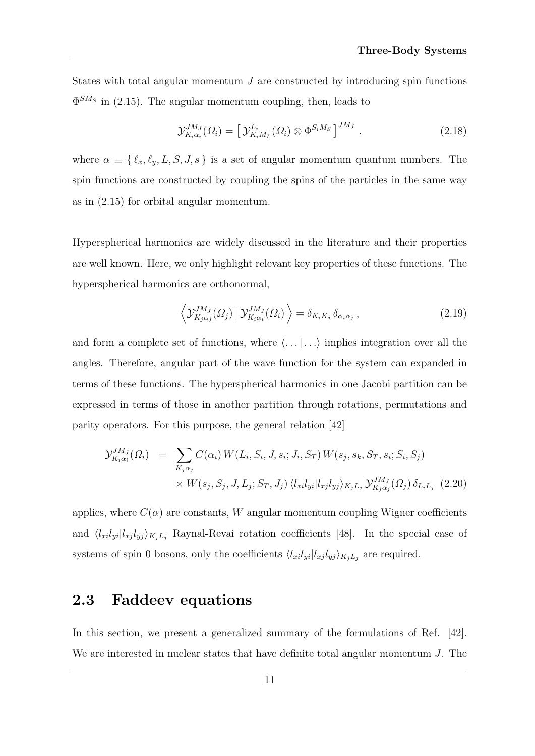States with total angular momentum J are constructed by introducing spin functions  $\Phi^{SM_S}$  in (2.15). The angular momentum coupling, then, leads to

$$
\mathcal{Y}_{K_i\alpha_i}^{JM_J}(\Omega_i) = \left[\mathcal{Y}_{K_iM_L}^{L_i}(\Omega_i) \otimes \Phi^{S_iM_S}\right]^{JM_J}.
$$
\n(2.18)

where  $\alpha \equiv \{ \ell_x, \ell_y, L, S, J, s \}$  is a set of angular momentum quantum numbers. The spin functions are constructed by coupling the spins of the particles in the same way as in (2.15) for orbital angular momentum.

Hyperspherical harmonics are widely discussed in the literature and their properties are well known. Here, we only highlight relevant key properties of these functions. The hyperspherical harmonics are orthonormal,

$$
\left\langle \mathcal{Y}_{K_j \alpha_j}^{JM_J}(\Omega_j) \, \middle| \, \mathcal{Y}_{K_i \alpha_i}^{JM_J}(\Omega_i) \right\rangle = \delta_{K_i K_j} \, \delta_{\alpha_i \alpha_j} \,, \tag{2.19}
$$

and form a complete set of functions, where  $\langle \ldots | \ldots \rangle$  implies integration over all the angles. Therefore, angular part of the wave function for the system can expanded in terms of these functions. The hyperspherical harmonics in one Jacobi partition can be expressed in terms of those in another partition through rotations, permutations and parity operators. For this purpose, the general relation [42]

$$
\mathcal{Y}_{K_i\alpha_i}^{JM_J}(\Omega_i) = \sum_{K_j\alpha_j} C(\alpha_i) W(L_i, S_i, J, s_i; J_i, S_T) W(s_j, s_k, S_T, s_i; S_i, S_j)
$$
  
 
$$
\times W(s_j, S_j, J, L_j; S_T, J_j) \langle l_{xi} | l_{yj} | l_{xj} l_{yj} \rangle_{K_j L_j} \mathcal{Y}_{K_j\alpha_j}^{JM_J}(\Omega_j) \delta_{L_i L_j} \tag{2.20}
$$

applies, where  $C(\alpha)$  are constants, W angular momentum coupling Wigner coefficients and  $\langle l_{x_i} l_{y_i} | l_{x_j} l_{y_j} \rangle_{K_j L_j}$  Raynal-Revai rotation coefficients [48]. In the special case of systems of spin 0 bosons, only the coefficients  $\langle l_{xi}l_{yi}|l_{xj}l_{yj}\rangle_{K_jL_j}$  are required.

#### 2.3 Faddeev equations

In this section, we present a generalized summary of the formulations of Ref. [42]. We are interested in nuclear states that have definite total angular momentum J. The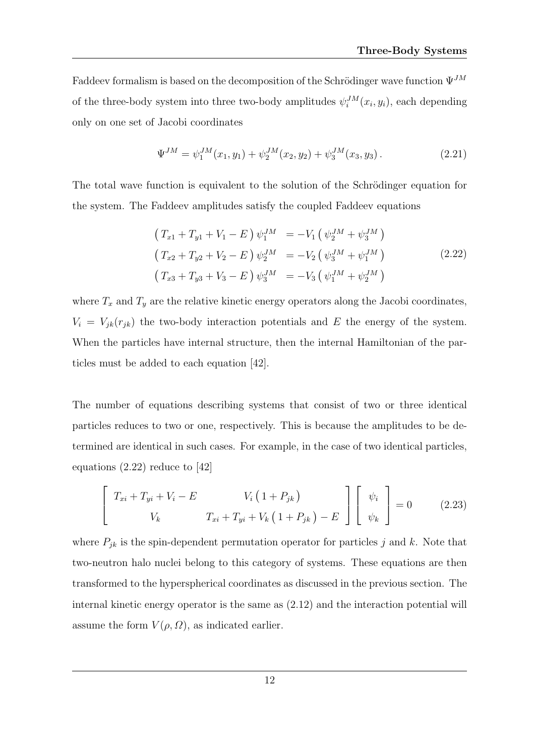Faddeev formalism is based on the decomposition of the Schrödinger wave function  $\Psi^{JM}$ of the three-body system into three two-body amplitudes  $\psi_i^{JM}(x_i, y_i)$ , each depending only on one set of Jacobi coordinates

$$
\Psi^{JM} = \psi_1^{JM}(x_1, y_1) + \psi_2^{JM}(x_2, y_2) + \psi_3^{JM}(x_3, y_3).
$$
 (2.21)

The total wave function is equivalent to the solution of the Schrödinger equation for the system. The Faddeev amplitudes satisfy the coupled Faddeev equations

$$
\begin{aligned}\n\left(T_{x1} + T_{y1} + V_1 - E\right)\psi_1^{JM} &= -V_1 \left(\psi_2^{JM} + \psi_3^{JM}\right) \\
\left(T_{x2} + T_{y2} + V_2 - E\right)\psi_2^{JM} &= -V_2 \left(\psi_3^{JM} + \psi_1^{JM}\right) \\
\left(T_{x3} + T_{y3} + V_3 - E\right)\psi_3^{JM} &= -V_3 \left(\psi_1^{JM} + \psi_2^{JM}\right)\n\end{aligned}
$$
\n(2.22)

where  $T_x$  and  $T_y$  are the relative kinetic energy operators along the Jacobi coordinates,  $V_i = V_{jk}(r_{jk})$  the two-body interaction potentials and E the energy of the system. When the particles have internal structure, then the internal Hamiltonian of the particles must be added to each equation [42].

The number of equations describing systems that consist of two or three identical particles reduces to two or one, respectively. This is because the amplitudes to be determined are identical in such cases. For example, in the case of two identical particles, equations (2.22) reduce to [42]

$$
\begin{bmatrix}\nT_{xi} + T_{yi} + V_i - E & V_i (1 + P_{jk}) \\
V_k & T_{xi} + T_{yi} + V_k (1 + P_{jk}) - E\n\end{bmatrix}\n\begin{bmatrix}\n\psi_i \\
\psi_k\n\end{bmatrix} = 0\n\tag{2.23}
$$

where  $P_{jk}$  is the spin-dependent permutation operator for particles j and k. Note that two-neutron halo nuclei belong to this category of systems. These equations are then transformed to the hyperspherical coordinates as discussed in the previous section. The internal kinetic energy operator is the same as (2.12) and the interaction potential will assume the form  $V(\rho, \Omega)$ , as indicated earlier.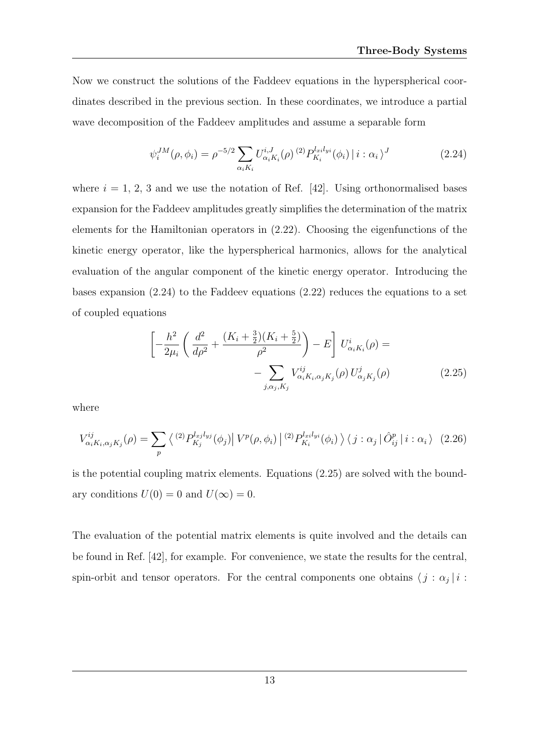Now we construct the solutions of the Faddeev equations in the hyperspherical coordinates described in the previous section. In these coordinates, we introduce a partial wave decomposition of the Faddeev amplitudes and assume a separable form

$$
\psi_i^{JM}(\rho, \phi_i) = \rho^{-5/2} \sum_{\alpha_i K_i} U_{\alpha_i K_i}^{i,J}(\rho)^{(2)} P_{K_i}^{l_{xi}(\phi_i)} | i : \alpha_i \rangle^J
$$
\n(2.24)

where  $i = 1, 2, 3$  and we use the notation of Ref. [42]. Using orthonormalised bases expansion for the Faddeev amplitudes greatly simplifies the determination of the matrix elements for the Hamiltonian operators in (2.22). Choosing the eigenfunctions of the kinetic energy operator, like the hyperspherical harmonics, allows for the analytical evaluation of the angular component of the kinetic energy operator. Introducing the bases expansion  $(2.24)$  to the Faddeev equations  $(2.22)$  reduces the equations to a set of coupled equations

$$
\left[ -\frac{h^2}{2\mu_i} \left( \frac{d^2}{d\rho^2} + \frac{(K_i + \frac{3}{2})(K_i + \frac{5}{2})}{\rho^2} \right) - E \right] U^i_{\alpha_i K_i}(\rho) = -\sum_{j,\alpha_j, K_j} V^{ij}_{\alpha_i K_i, \alpha_j K_j}(\rho) U^j_{\alpha_j K_j}(\rho)
$$
(2.25)

where

$$
V_{\alpha_i K_i, \alpha_j K_j}^{ij}(\rho) = \sum_p \left\langle \frac{(2) P_{K_j}^{l_{xj} l_{yj}}(\phi_j) | V^p(\rho, \phi_i) |^{(2)} P_{K_i}^{l_{xi} l_{yi}}(\phi_i) \right\rangle \langle j : \alpha_j | \hat{O}_{ij}^p | i : \alpha_i \rangle \tag{2.26}
$$

is the potential coupling matrix elements. Equations (2.25) are solved with the boundary conditions  $U(0) = 0$  and  $U(\infty) = 0$ .

The evaluation of the potential matrix elements is quite involved and the details can be found in Ref. [42], for example. For convenience, we state the results for the central, spin-orbit and tensor operators. For the central components one obtains  $\langle j : \alpha_j | i :$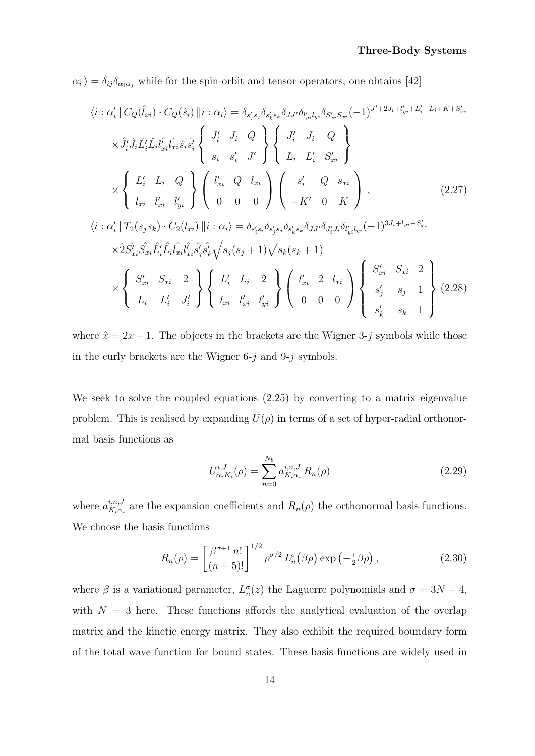$\langle \alpha_i \rangle = \delta_{ij} \delta_{\alpha_i \alpha_j}$  while for the spin-orbit and tensor operators, one obtains [42]

$$
\langle i : \alpha'_{i} || C_{Q}(\hat{l}_{xi}) \cdot C_{Q}(\hat{s}_{i}) || i : \alpha_{i} \rangle = \delta_{s'_{j}s_{j}} \delta_{s'_{k}s_{k}} \delta_{JJ'} \delta_{l'_{yi}l_{yi}} \delta_{S'_{xi}S_{xi}} (-1)^{J'+2J_{i}+l'_{yi}+L'_{i}+L_{i}+K+S'_{xi}}
$$
  
\n
$$
\times \hat{J}'_{i} \hat{J}_{i} \hat{L}'_{i} \hat{L}_{i} l'_{xi} \hat{l}_{xi} \hat{s}_{i} \hat{s}'_{i} \begin{Bmatrix} J'_{i} & J_{i} & Q \\ s_{i} & s'_{i} & J' \end{Bmatrix} \begin{Bmatrix} J'_{i} & J_{i} & Q \\ L_{i} & L'_{i} & S'_{xi} \end{Bmatrix}
$$
  
\n
$$
\times \begin{Bmatrix} L'_{i} & L_{i} & Q \\ l_{xi} & l'_{yi} & l'_{yi} \end{Bmatrix} \begin{Bmatrix} l'_{xi} & Q & l_{xi} \\ 0 & 0 & 0 \end{Bmatrix} \begin{Bmatrix} s'_{i} & Q & s_{xi} \\ -K' & 0 & K \end{Bmatrix},
$$
  
\n
$$
\langle i : \alpha'_{i} || T_{2}(s_{j}s_{k}) \cdot C_{2}(l_{xi}) || i : \alpha_{i} \rangle = \delta_{s'_{i}s_{i}} \delta_{s'_{j}s_{j}} \delta_{s'_{k}s_{k}} \delta_{JJ'} \delta_{l'_{ij}} l_{yi} (-1)^{3J_{i}+l_{yi}-S'_{xi}}
$$
  
\n
$$
\times \hat{2} \hat{S}'_{xi} \hat{S}_{xi} \hat{L}'_{i} \hat{L}_{i} \hat{l}_{xi} \hat{l}_{xi} \hat{s}'_{ij} \hat{s}'_{j} \hat{s}'_{k} \sqrt{s_{j}(s_{j}+1)} \sqrt{s_{k}(s_{k}+1)}
$$
  
\n
$$
\times \begin{Bmatrix} S'_{xi} & S_{xi} & 2 \\ L_{i} & L'_{i} & J'_{i} \end{Bmatrix} \begin{Bmatrix} L'_{i} & L_{i} & 2 \\ l_{xi} & l'_{yi} & l'_{yi} \end{Bmatrix} \begin{Bmatrix} l'_{xi} & 2 & l_{xi} \\ 0 & 0 & 0 \end{Bmatrix} \begin{Bmatrix} S
$$

where  $\hat{x} = 2x + 1$ . The objects in the brackets are the Wigner 3-j symbols while those in the curly brackets are the Wigner  $6-j$  and  $9-j$  symbols.

We seek to solve the coupled equations (2.25) by converting to a matrix eigenvalue problem. This is realised by expanding  $U(\rho)$  in terms of a set of hyper-radial orthonormal basis functions as

$$
U_{\alpha_i K_i}^{i,J}(\rho) = \sum_{n=0}^{N_b} a_{K_i \alpha_i}^{i,n,J} R_n(\rho)
$$
\n(2.29)

where  $a_{K;\alpha}^{i,n,J}$  $\kappa_{i,\alpha_{i}}^{n,\nu}$  are the expansion coefficients and  $R_{n}(\rho)$  the orthonormal basis functions. We choose the basis functions

$$
R_n(\rho) = \left[\frac{\beta^{\sigma+1} n!}{(n+5)!}\right]^{1/2} \rho^{\sigma/2} L_n^{\sigma}(\beta \rho) \exp\left(-\frac{1}{2}\beta \rho\right), \tag{2.30}
$$

where  $\beta$  is a variational parameter,  $L_n^{\sigma}(z)$  the Laguerre polynomials and  $\sigma = 3N - 4$ , with  $N = 3$  here. These functions affords the analytical evaluation of the overlap matrix and the kinetic energy matrix. They also exhibit the required boundary form of the total wave function for bound states. These basis functions are widely used in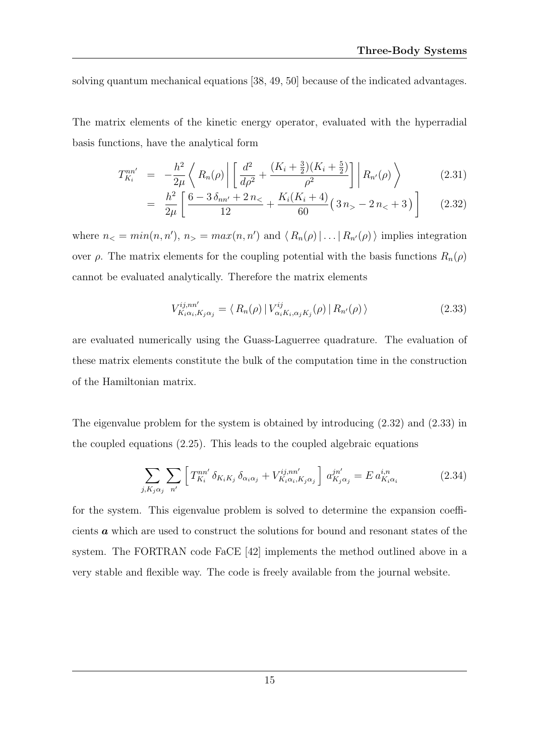solving quantum mechanical equations [38, 49, 50] because of the indicated advantages.

The matrix elements of the kinetic energy operator, evaluated with the hyperradial basis functions, have the analytical form

$$
T_{K_i}^{nn'} = -\frac{h^2}{2\mu} \left\langle R_n(\rho) \left| \left[ \frac{d^2}{d\rho^2} + \frac{(K_i + \frac{3}{2})(K_i + \frac{5}{2})}{\rho^2} \right] \right| R_{n'}(\rho) \right\rangle \tag{2.31}
$$

$$
= \frac{h^2}{2\mu} \left[ \frac{6 - 3\,\delta_{nn'} + 2\,n_{\leq}}{12} + \frac{K_i(K_i + 4)}{60} \left( 3\,n_{>} - 2\,n_{<} + 3 \right) \right] \tag{2.32}
$$

where  $n_{\leq} = min(n, n'), n_{\geq} = max(n, n')$  and  $\langle R_n(\rho) | \dots | R_{n'}(\rho) \rangle$  implies integration over *ρ*. The matrix elements for the coupling potential with the basis functions  $R_n(ρ)$ cannot be evaluated analytically. Therefore the matrix elements

$$
V_{K_i\alpha_i,K_j\alpha_j}^{ij,nn'} = \langle R_n(\rho) | V_{\alpha_iK_i,\alpha_jK_j}^{ij}(\rho) | R_{n'}(\rho) \rangle
$$
 (2.33)

are evaluated numerically using the Guass-Laguerree quadrature. The evaluation of these matrix elements constitute the bulk of the computation time in the construction of the Hamiltonian matrix.

The eigenvalue problem for the system is obtained by introducing (2.32) and (2.33) in the coupled equations (2.25). This leads to the coupled algebraic equations

$$
\sum_{j,K_j\alpha_j} \sum_{n'} \left[ T^{nn'}_{K_i} \delta_{K_iK_j} \delta_{\alpha_i\alpha_j} + V^{ij,nn'}_{K_i\alpha_i,K_j\alpha_j} \right] a^{jn'}_{K_j\alpha_j} = E a^{i,n}_{K_i\alpha_i} \tag{2.34}
$$

for the system. This eigenvalue problem is solved to determine the expansion coefficients a which are used to construct the solutions for bound and resonant states of the system. The FORTRAN code FaCE [42] implements the method outlined above in a very stable and flexible way. The code is freely available from the journal website.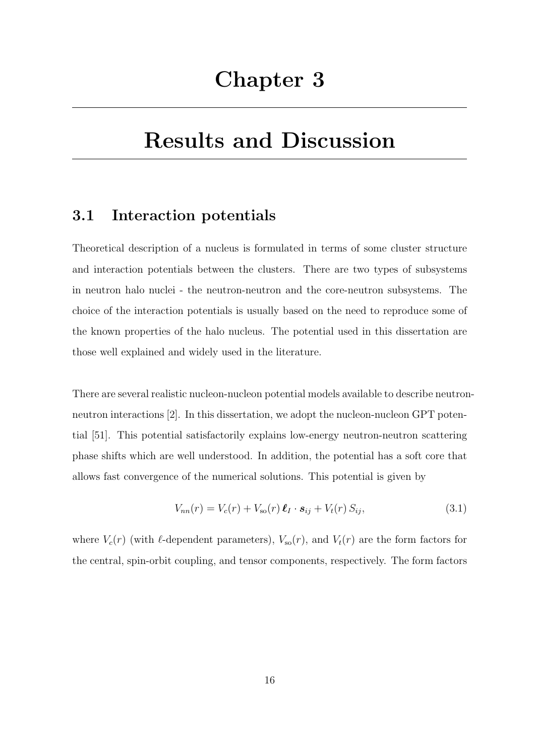# Results and Discussion

#### 3.1 Interaction potentials

Theoretical description of a nucleus is formulated in terms of some cluster structure and interaction potentials between the clusters. There are two types of subsystems in neutron halo nuclei - the neutron-neutron and the core-neutron subsystems. The choice of the interaction potentials is usually based on the need to reproduce some of the known properties of the halo nucleus. The potential used in this dissertation are those well explained and widely used in the literature.

There are several realistic nucleon-nucleon potential models available to describe neutronneutron interactions [2]. In this dissertation, we adopt the nucleon-nucleon GPT potential [51]. This potential satisfactorily explains low-energy neutron-neutron scattering phase shifts which are well understood. In addition, the potential has a soft core that allows fast convergence of the numerical solutions. This potential is given by

$$
V_{nn}(r) = V_c(r) + V_{so}(r) \,\boldsymbol{\ell}_I \cdot \boldsymbol{s}_{ij} + V_t(r) \, S_{ij},\tag{3.1}
$$

where  $V_c(r)$  (with  $\ell$ -dependent parameters),  $V_{so}(r)$ , and  $V_t(r)$  are the form factors for the central, spin-orbit coupling, and tensor components, respectively. The form factors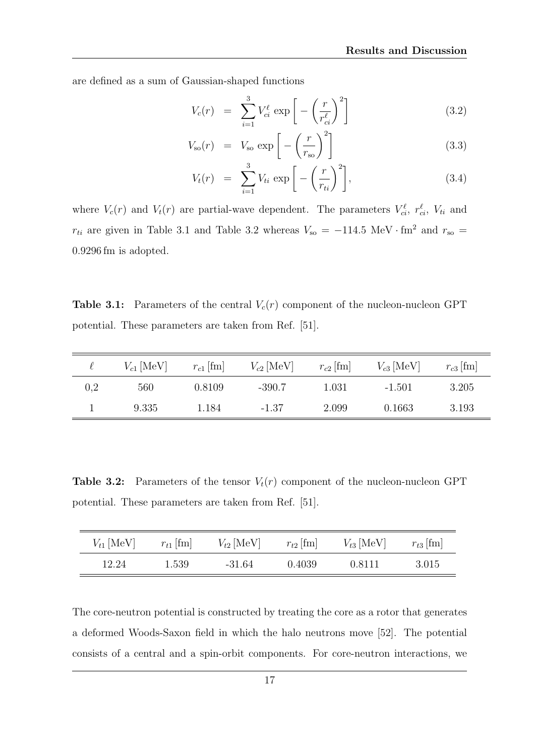are defined as a sum of Gaussian-shaped functions

$$
V_c(r) = \sum_{i=1}^{3} V_{ci}^{\ell} \exp\left[-\left(\frac{r}{r_{ci}^{\ell}}\right)^2\right]
$$
 (3.2)

$$
V_{\rm so}(r) = V_{\rm so} \exp\left[-\left(\frac{r}{r_{\rm so}}\right)^2\right]
$$
\n(3.3)

$$
V_t(r) = \sum_{i=1}^3 V_{ti} \exp\left[-\left(\frac{r}{r_{ti}}\right)^2\right],\tag{3.4}
$$

where  $V_c(r)$  and  $V_t(r)$  are partial-wave dependent. The parameters  $V_{ci}^{\ell}$ ,  $r_{ci}^{\ell}$ ,  $V_{ti}$  and  $r_{ti}$  are given in Table 3.1 and Table 3.2 whereas  $V_{so} = -114.5 \text{ MeV} \cdot \text{fm}^2$  and  $r_{so} =$ 0.9296 fm is adopted.

**Table 3.1:** Parameters of the central  $V_c(r)$  component of the nucleon-nucleon GPT potential. These parameters are taken from Ref. [51].

|     | $V_{c1}$ [MeV] | $r_{c1}$ [fm] | $V_{c2}$ [MeV] | $r_{c2}$ [fm] | $V_{c3}$ [MeV] | $r_{c3}$ [fm] |
|-----|----------------|---------------|----------------|---------------|----------------|---------------|
| 0,2 | 560            | 0.8109        | $-390.7$       | 1.031         | $-1.501$       | 3.205         |
|     | 9.335          | 1.184         | $-1.37$        | 2.099         | 0.1663         | 3.193         |

**Table 3.2:** Parameters of the tensor  $V_t(r)$  component of the nucleon-nucleon GPT potential. These parameters are taken from Ref. [51].

| $V_{t1}$ [MeV] | $r_{t1}$ [fm] | $V_{t2}$ [MeV] | $r_{t2}$ [fm] | $V_{t3}$ [MeV] | $r_{t3}$ [fm] |
|----------------|---------------|----------------|---------------|----------------|---------------|
| 12.24          | 1.539         | $-31.64$       | 0.4039        | 0.8111         | 3.015         |

The core-neutron potential is constructed by treating the core as a rotor that generates a deformed Woods-Saxon field in which the halo neutrons move [52]. The potential consists of a central and a spin-orbit components. For core-neutron interactions, we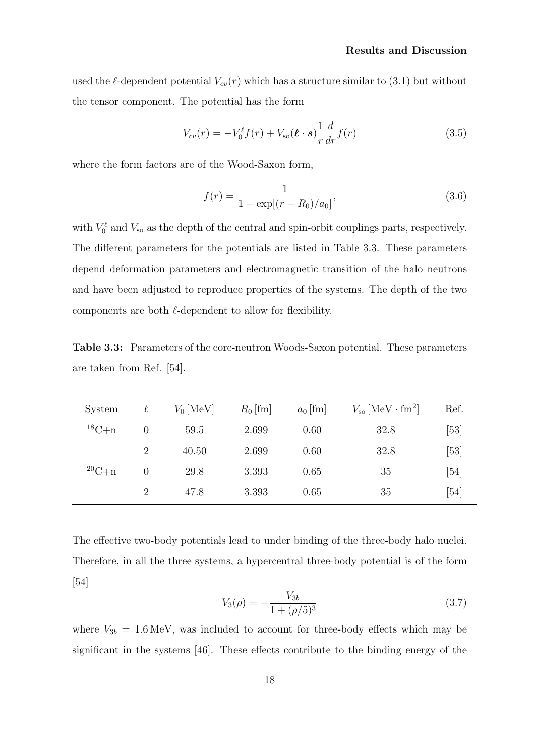used the  $\ell$ -dependent potential  $V_{cv}(r)$  which has a structure similar to (3.1) but without the tensor component. The potential has the form

$$
V_{cv}(r) = -V_0^{\ell} f(r) + V_{so}(\ell \cdot s) \frac{1}{r} \frac{d}{dr} f(r)
$$
\n(3.5)

where the form factors are of the Wood-Saxon form,

$$
f(r) = \frac{1}{1 + \exp[(r - R_0)/a_0]},
$$
\n(3.6)

with  $V_0^{\ell}$  and  $V_{\rm so}$  as the depth of the central and spin-orbit couplings parts, respectively. The different parameters for the potentials are listed in Table 3.3. These parameters depend deformation parameters and electromagnetic transition of the halo neutrons and have been adjusted to reproduce properties of the systems. The depth of the two components are both  $\ell$ -dependent to allow for flexibility.

Table 3.3: Parameters of the core-neutron Woods-Saxon potential. These parameters are taken from Ref. [54].

| System          | $\ell$   | $V_0$ [MeV] | $R_0$ [fm] | $a_0$ [fm] | $V_{\rm so}$ [MeV $\cdot$ fm <sup>2</sup> ] | Ref. |
|-----------------|----------|-------------|------------|------------|---------------------------------------------|------|
| ${}^{18}C_{+n}$ | $\theta$ | 59.5        | 2.699      | 0.60       | 32.8                                        | [53] |
|                 | 2        | 40.50       | 2.699      | 0.60       | 32.8                                        | [53] |
| ${}^{20}C_{+}n$ | 0        | 29.8        | 3.393      | 0.65       | 35                                          | [54] |
|                 | 2        | 47.8        | 3.393      | 0.65       | 35                                          | [54] |

The effective two-body potentials lead to under binding of the three-body halo nuclei. Therefore, in all the three systems, a hypercentral three-body potential is of the form [54]

$$
V_3(\rho) = -\frac{V_{3b}}{1 + (\rho/5)^3} \tag{3.7}
$$

where  $V_{3b} = 1.6 \,\text{MeV}$ , was included to account for three-body effects which may be significant in the systems [46]. These effects contribute to the binding energy of the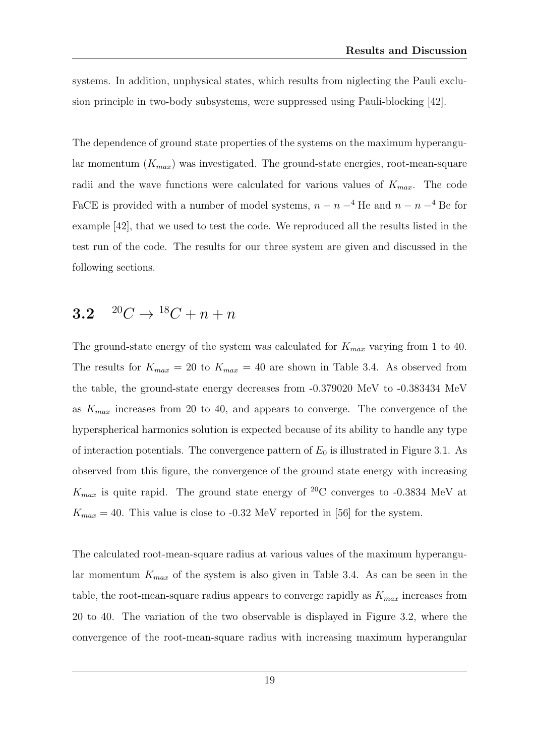systems. In addition, unphysical states, which results from niglecting the Pauli exclusion principle in two-body subsystems, were suppressed using Pauli-blocking [42].

The dependence of ground state properties of the systems on the maximum hyperangular momentum  $(K_{max})$  was investigated. The ground-state energies, root-mean-square radii and the wave functions were calculated for various values of  $K_{max}$ . The code FaCE is provided with a number of model systems,  $n - n - 4$  He and  $n - n - 4$  Be for example [42], that we used to test the code. We reproduced all the results listed in the test run of the code. The results for our three system are given and discussed in the following sections.

### 3.2  $^{20}C \rightarrow {}^{18}C + n + n$

The ground-state energy of the system was calculated for  $K_{max}$  varying from 1 to 40. The results for  $K_{max} = 20$  to  $K_{max} = 40$  are shown in Table 3.4. As observed from the table, the ground-state energy decreases from -0.379020 MeV to -0.383434 MeV as  $K_{max}$  increases from 20 to 40, and appears to converge. The convergence of the hyperspherical harmonics solution is expected because of its ability to handle any type of interaction potentials. The convergence pattern of  $E_0$  is illustrated in Figure 3.1. As observed from this figure, the convergence of the ground state energy with increasing  $K_{max}$  is quite rapid. The ground state energy of <sup>20</sup>C converges to -0.3834 MeV at  $K_{max} = 40$ . This value is close to -0.32 MeV reported in [56] for the system.

The calculated root-mean-square radius at various values of the maximum hyperangular momentum  $K_{max}$  of the system is also given in Table 3.4. As can be seen in the table, the root-mean-square radius appears to converge rapidly as  $K_{max}$  increases from 20 to 40. The variation of the two observable is displayed in Figure 3.2, where the convergence of the root-mean-square radius with increasing maximum hyperangular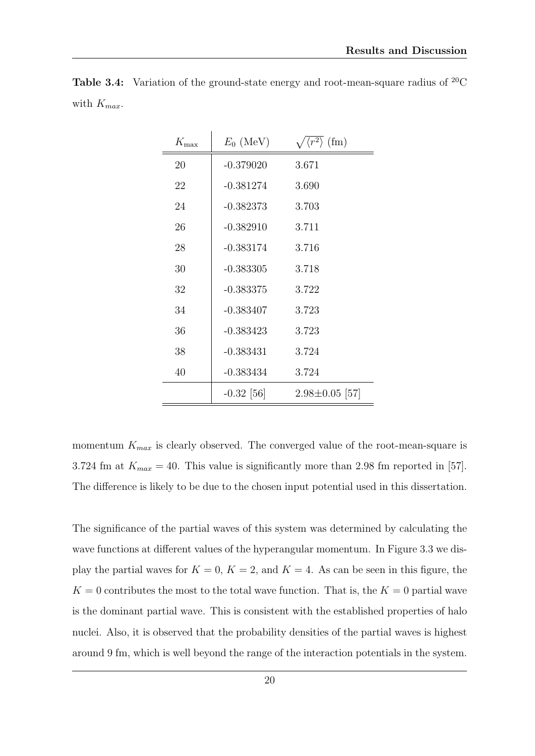| $K_{\rm max}$ | $E_0$ (MeV)  | $\langle r^2 \rangle$ (fm) |
|---------------|--------------|----------------------------|
| 20            | $-0.379020$  | 3.671                      |
| 22            | $-0.381274$  | 3.690                      |
| 24            | $-0.382373$  | 3.703                      |
| 26            | $-0.382910$  | 3.711                      |
| 28            | $-0.383174$  | 3.716                      |
| 30            | $-0.383305$  | 3.718                      |
| 32            | $-0.383375$  | 3.722                      |
| 34            | $-0.383407$  | 3.723                      |
| 36            | $-0.383423$  | 3.723                      |
| 38            | $-0.383431$  | 3.724                      |
| 40            | $-0.383434$  | 3.724                      |
|               | $-0.32$ [56] | $2.98 \pm 0.05$ [57]       |

**Table 3.4:** Variation of the ground-state energy and root-mean-square radius of  $^{20}$ C with  $K_{max}$ .

momentum  $K_{max}$  is clearly observed. The converged value of the root-mean-square is 3.724 fm at  $K_{max} = 40$ . This value is significantly more than 2.98 fm reported in [57]. The difference is likely to be due to the chosen input potential used in this dissertation.

The significance of the partial waves of this system was determined by calculating the wave functions at different values of the hyperangular momentum. In Figure 3.3 we display the partial waves for  $K = 0$ ,  $K = 2$ , and  $K = 4$ . As can be seen in this figure, the  $K = 0$  contributes the most to the total wave function. That is, the  $K = 0$  partial wave is the dominant partial wave. This is consistent with the established properties of halo nuclei. Also, it is observed that the probability densities of the partial waves is highest around 9 fm, which is well beyond the range of the interaction potentials in the system.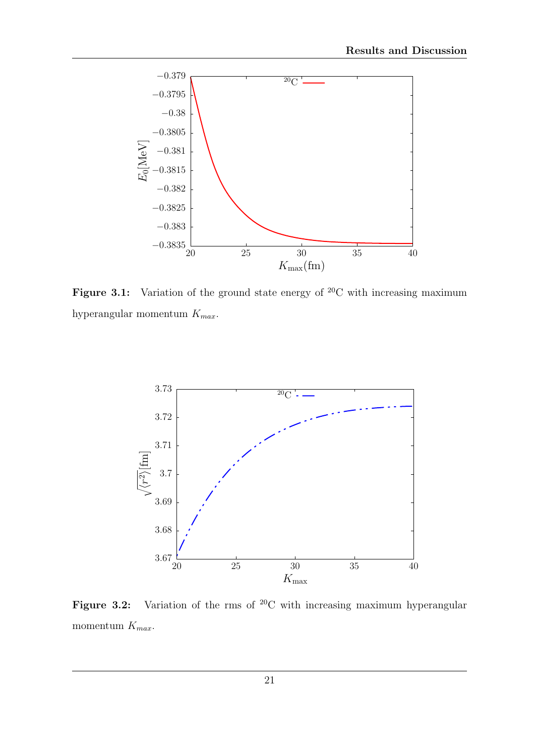

Figure 3.1: Variation of the ground state energy of  $^{20}$ C with increasing maximum hyperangular momentum  $K_{max}$ .



Figure 3.2: Variation of the rms of  ${}^{20}C$  with increasing maximum hyperangular momentum  $K_{max}$ .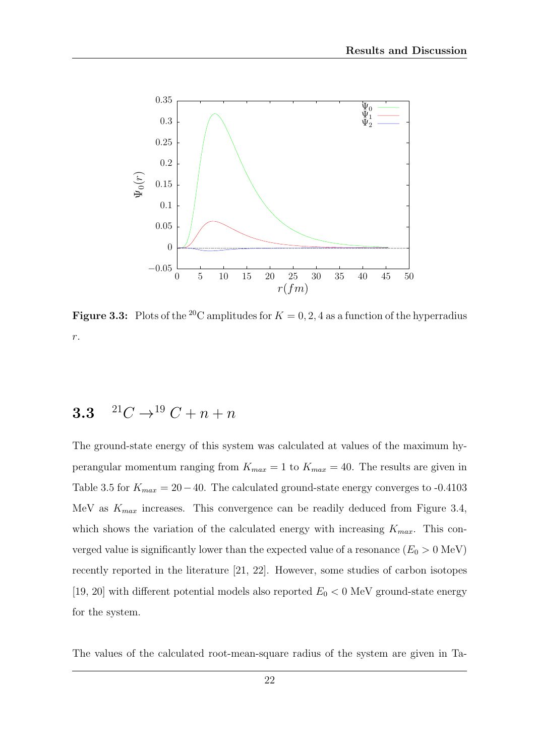

**Figure 3.3:** Plots of the <sup>20</sup>C amplitudes for  $K = 0, 2, 4$  as a function of the hyperradius r.

### 3.3  $^{21}C \rightarrow ^{19}C + n + n$

The ground-state energy of this system was calculated at values of the maximum hyperangular momentum ranging from  $K_{max} = 1$  to  $K_{max} = 40$ . The results are given in Table 3.5 for  $K_{max} = 20-40$ . The calculated ground-state energy converges to -0.4103 MeV as  $K_{max}$  increases. This convergence can be readily deduced from Figure 3.4, which shows the variation of the calculated energy with increasing  $K_{max}$ . This converged value is significantly lower than the expected value of a resonance  $(E_0 > 0 \text{ MeV})$ recently reported in the literature [21, 22]. However, some studies of carbon isotopes [19, 20] with different potential models also reported  $E_0 < 0$  MeV ground-state energy for the system.

The values of the calculated root-mean-square radius of the system are given in Ta-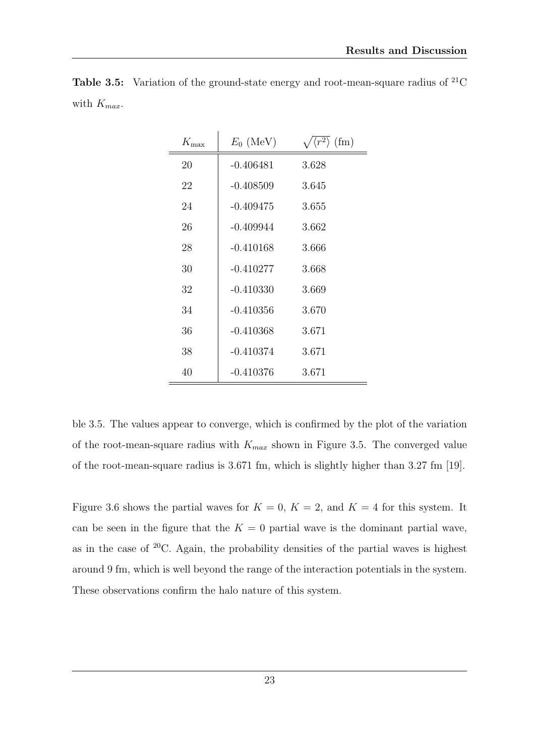| $K_{\text{max}}$ | $E_0$ (MeV) | $\sqrt{\langle r^2 \rangle \text{ (fm)}}$ |
|------------------|-------------|-------------------------------------------|
| 20               | $-0.406481$ | 3.628                                     |
| 22               | $-0.408509$ | 3.645                                     |
| 24               | $-0.409475$ | 3.655                                     |
| 26               | $-0.409944$ | 3.662                                     |
| 28               | $-0.410168$ | 3.666                                     |
| 30               | $-0.410277$ | 3.668                                     |
| 32               | $-0.410330$ | 3.669                                     |
| 34               | $-0.410356$ | 3.670                                     |
| 36               | $-0.410368$ | 3.671                                     |
| 38               | $-0.410374$ | 3.671                                     |
| 40               | $-0.410376$ | 3.671                                     |

**Table 3.5:** Variation of the ground-state energy and root-mean-square radius of  ${}^{21}C$ with  $K_{max}$ .

ble 3.5. The values appear to converge, which is confirmed by the plot of the variation of the root-mean-square radius with  $K_{max}$  shown in Figure 3.5. The converged value of the root-mean-square radius is 3.671 fm, which is slightly higher than 3.27 fm [19].

Figure 3.6 shows the partial waves for  $K = 0$ ,  $K = 2$ , and  $K = 4$  for this system. It can be seen in the figure that the  $K = 0$  partial wave is the dominant partial wave, as in the case of  $20C$ . Again, the probability densities of the partial waves is highest around 9 fm, which is well beyond the range of the interaction potentials in the system. These observations confirm the halo nature of this system.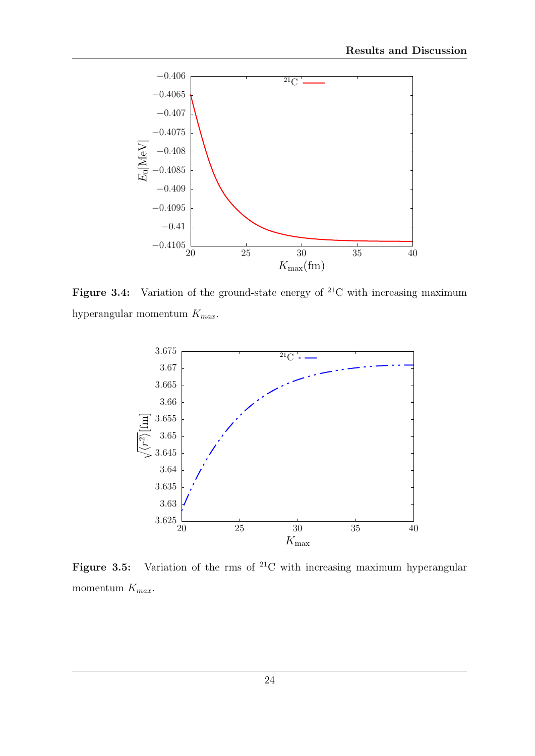

Figure 3.4: Variation of the ground-state energy of  $^{21}C$  with increasing maximum hyperangular momentum  $K_{max}$ .



Figure 3.5: Variation of the rms of  ${}^{21}C$  with increasing maximum hyperangular momentum  $K_{max}$ .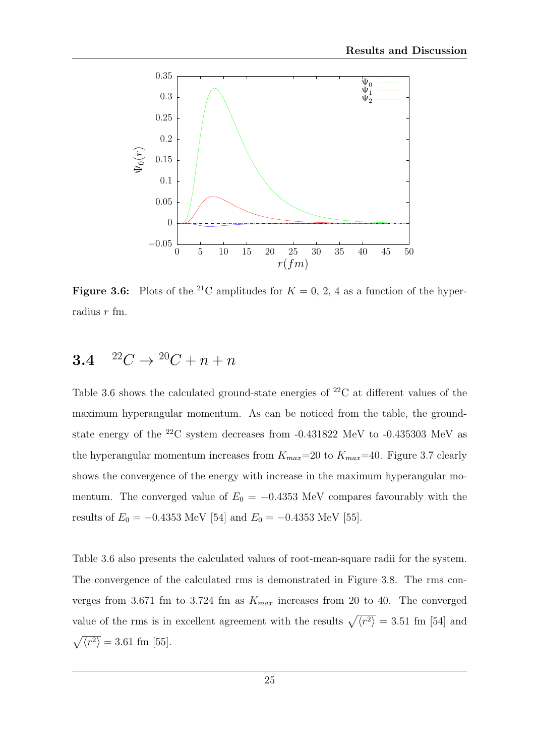

**Figure 3.6:** Plots of the <sup>21</sup>C amplitudes for  $K = 0, 2, 4$  as a function of the hyperradius r fm.

### 3.4  $^{22}C \rightarrow {}^{20}C + n + n$

Table 3.6 shows the calculated ground-state energies of  $^{22}$ C at different values of the maximum hyperangular momentum. As can be noticed from the table, the groundstate energy of the <sup>22</sup>C system decreases from -0.431822 MeV to -0.435303 MeV as the hyperangular momentum increases from  $K_{max}=20$  to  $K_{max}=40$ . Figure 3.7 clearly shows the convergence of the energy with increase in the maximum hyperangular momentum. The converged value of  $E_0 = -0.4353$  MeV compares favourably with the results of  $E_0 = -0.4353$  MeV [54] and  $E_0 = -0.4353$  MeV [55].

Table 3.6 also presents the calculated values of root-mean-square radii for the system. The convergence of the calculated rms is demonstrated in Figure 3.8. The rms converges from 3.671 fm to 3.724 fm as  $K_{max}$  increases from 20 to 40. The converged value of the rms is in excellent agreement with the results  $\sqrt{\langle r^2 \rangle} = 3.51$  fm [54] and  $\sqrt{\langle r^2 \rangle} = 3.61 \text{ fm} [55].$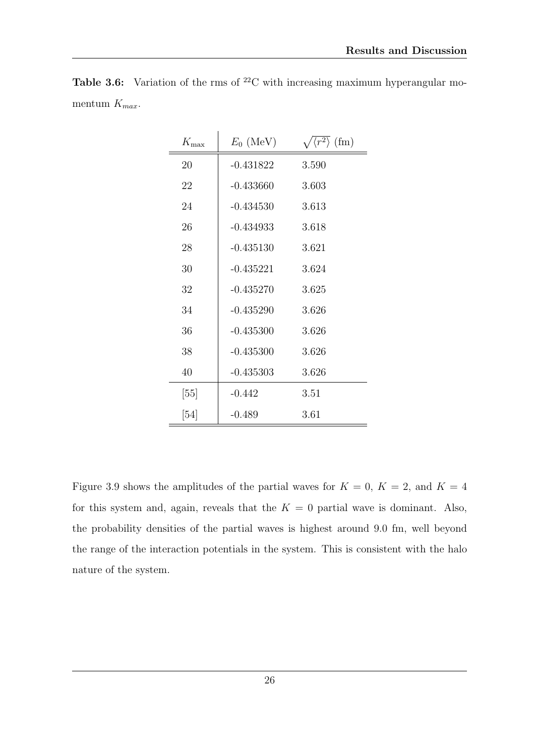| $K_{\max}$ | $E_0$ (MeV) | $\sqrt{\langle r^2 \rangle}$ (fm) |
|------------|-------------|-----------------------------------|
| 20         | $-0.431822$ | 3.590                             |
| 22         | $-0.433660$ | 3.603                             |
| 24         | $-0.434530$ | 3.613                             |
| 26         | $-0.434933$ | 3.618                             |
| 28         | $-0.435130$ | 3.621                             |
| 30         | $-0.435221$ | 3.624                             |
| 32         | $-0.435270$ | 3.625                             |
| 34         | $-0.435290$ | 3.626                             |
| 36         | $-0.435300$ | 3.626                             |
| 38         | $-0.435300$ | 3.626                             |
| 40         | $-0.435303$ | 3.626                             |
| [55]       | $-0.442$    | 3.51                              |
| [54]       | $-0.489$    | 3.61                              |

**Table 3.6:** Variation of the rms of  ${}^{22}C$  with increasing maximum hyperangular momentum  $K_{max}$ .

Figure 3.9 shows the amplitudes of the partial waves for  $K = 0$ ,  $K = 2$ , and  $K = 4$ for this system and, again, reveals that the  $K = 0$  partial wave is dominant. Also, the probability densities of the partial waves is highest around 9.0 fm, well beyond the range of the interaction potentials in the system. This is consistent with the halo nature of the system.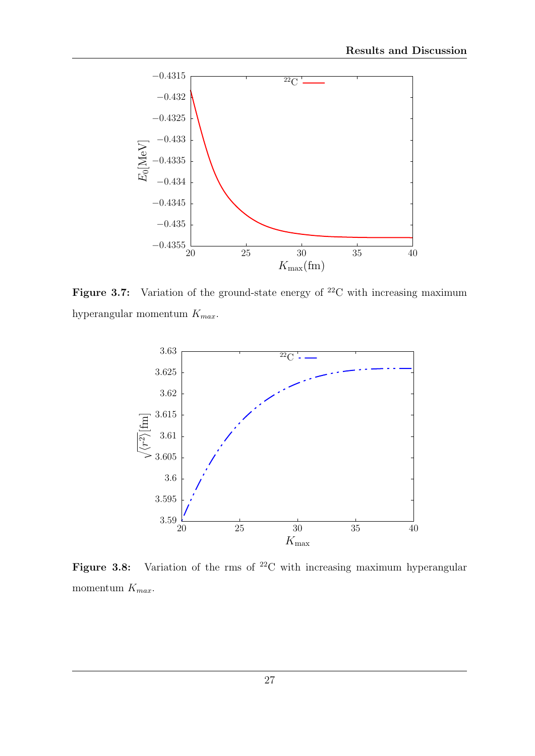

Figure 3.7: Variation of the ground-state energy of  $^{22}$ C with increasing maximum hyperangular momentum  $K_{max}$ .



Figure 3.8: Variation of the rms of  $^{22}C$  with increasing maximum hyperangular momentum  $K_{max}$ .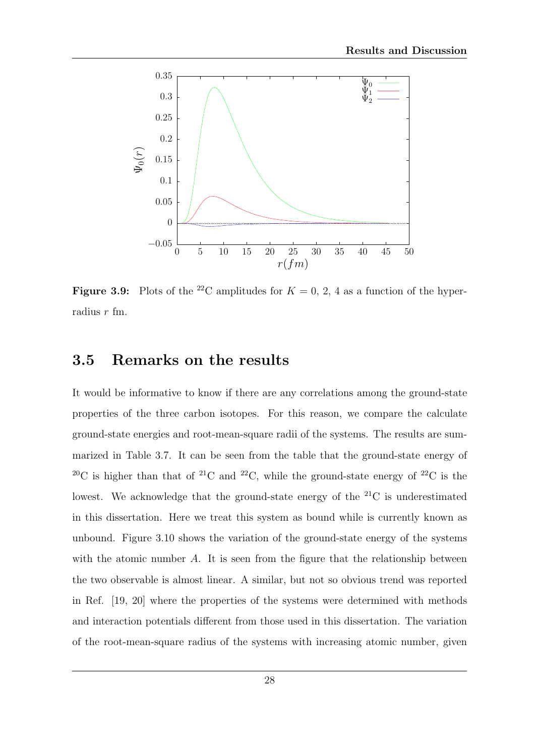

**Figure 3.9:** Plots of the <sup>22</sup>C amplitudes for  $K = 0, 2, 4$  as a function of the hyperradius r fm.

#### 3.5 Remarks on the results

It would be informative to know if there are any correlations among the ground-state properties of the three carbon isotopes. For this reason, we compare the calculate ground-state energies and root-mean-square radii of the systems. The results are summarized in Table 3.7. It can be seen from the table that the ground-state energy of <sup>20</sup>C is higher than that of <sup>21</sup>C and <sup>22</sup>C, while the ground-state energy of <sup>22</sup>C is the lowest. We acknowledge that the ground-state energy of the  $^{21}C$  is underestimated in this dissertation. Here we treat this system as bound while is currently known as unbound. Figure 3.10 shows the variation of the ground-state energy of the systems with the atomic number  $A$ . It is seen from the figure that the relationship between the two observable is almost linear. A similar, but not so obvious trend was reported in Ref. [19, 20] where the properties of the systems were determined with methods and interaction potentials different from those used in this dissertation. The variation of the root-mean-square radius of the systems with increasing atomic number, given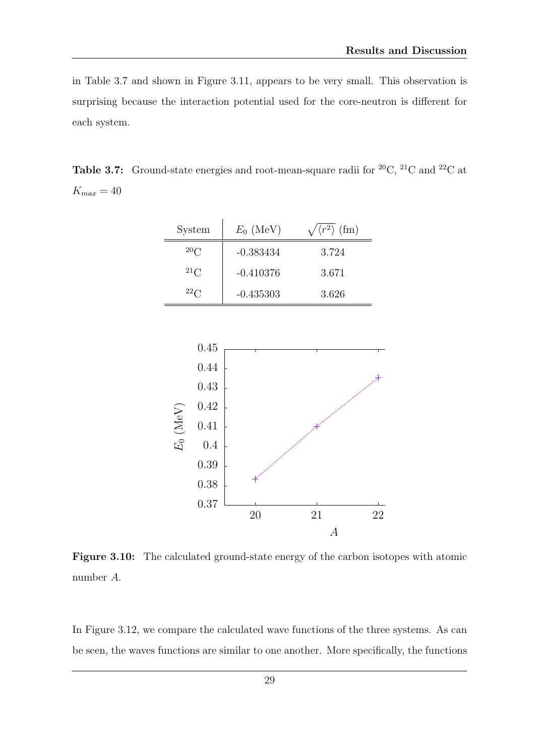in Table 3.7 and shown in Figure 3.11, appears to be very small. This observation is surprising because the interaction potential used for the core-neutron is different for each system.

**Table 3.7:** Ground-state energies and root-mean-square radii for <sup>20</sup>C, <sup>21</sup>C and <sup>22</sup>C at  $K_{max} = 40$ 

| <b>System</b> | $E_0$ (MeV) | $\sqrt{\langle r^2 \rangle}$ (fm) |
|---------------|-------------|-----------------------------------|
| 20C           | $-0.383434$ | 3.724                             |
| $^{21}$ C     | $-0.410376$ | 3.671                             |
| $^{22}C$      | $-0.435303$ | 3.626                             |



Figure 3.10: The calculated ground-state energy of the carbon isotopes with atomic number A.

In Figure 3.12, we compare the calculated wave functions of the three systems. As can be seen, the waves functions are similar to one another. More specifically, the functions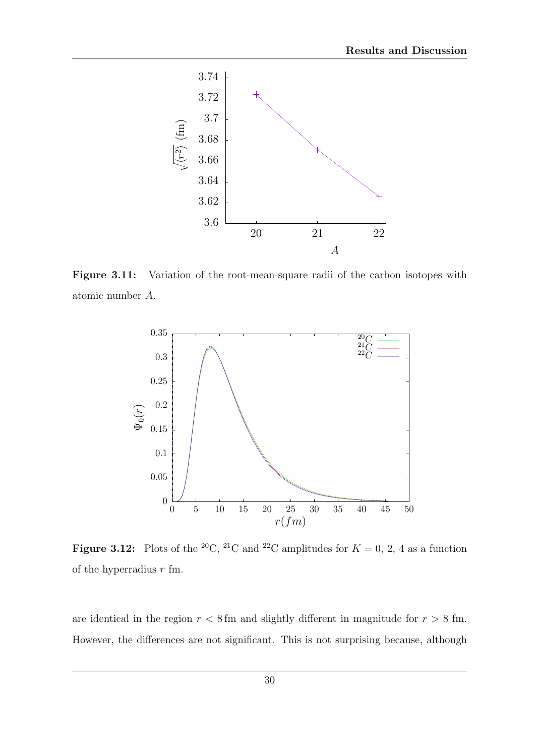

Figure 3.11: Variation of the root-mean-square radii of the carbon isotopes with atomic number A.



**Figure 3.12:** Plots of the <sup>20</sup>C, <sup>21</sup>C and <sup>22</sup>C amplitudes for  $K = 0, 2, 4$  as a function of the hyperradius  $r$  fm.

are identical in the region  $r < 8$  fm and slightly different in magnitude for  $r > 8$  fm. However, the differences are not significant. This is not surprising because, although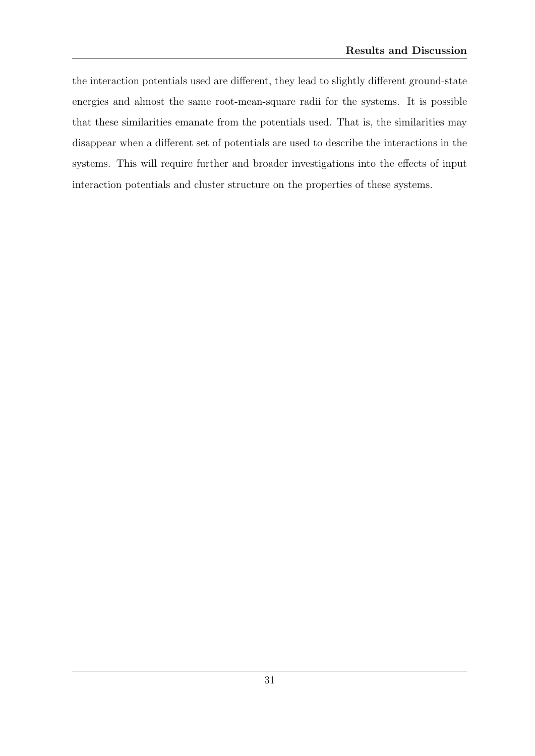the interaction potentials used are different, they lead to slightly different ground-state energies and almost the same root-mean-square radii for the systems. It is possible that these similarities emanate from the potentials used. That is, the similarities may disappear when a different set of potentials are used to describe the interactions in the systems. This will require further and broader investigations into the effects of input interaction potentials and cluster structure on the properties of these systems.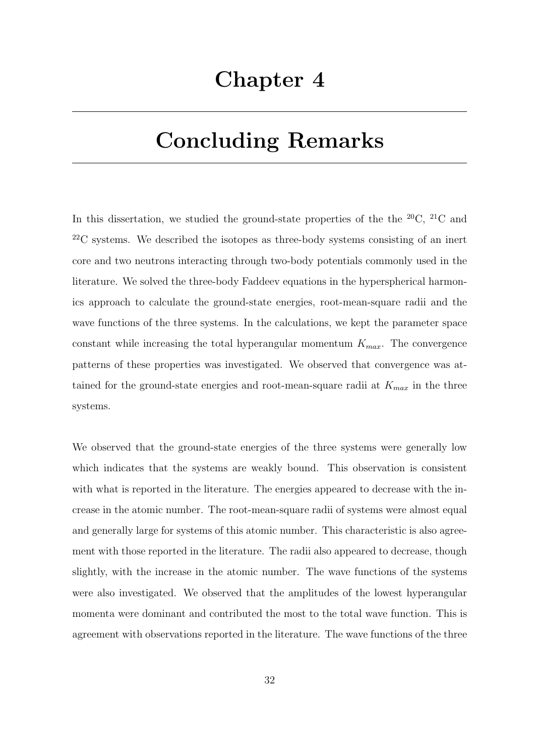## Chapter 4

## Concluding Remarks

In this dissertation, we studied the ground-state properties of the the  $^{20}C$ ,  $^{21}C$  and  $^{22}$ C systems. We described the isotopes as three-body systems consisting of an inert core and two neutrons interacting through two-body potentials commonly used in the literature. We solved the three-body Faddeev equations in the hyperspherical harmonics approach to calculate the ground-state energies, root-mean-square radii and the wave functions of the three systems. In the calculations, we kept the parameter space constant while increasing the total hyperangular momentum  $K_{max}$ . The convergence patterns of these properties was investigated. We observed that convergence was attained for the ground-state energies and root-mean-square radii at  $K_{max}$  in the three systems.

We observed that the ground-state energies of the three systems were generally low which indicates that the systems are weakly bound. This observation is consistent with what is reported in the literature. The energies appeared to decrease with the increase in the atomic number. The root-mean-square radii of systems were almost equal and generally large for systems of this atomic number. This characteristic is also agreement with those reported in the literature. The radii also appeared to decrease, though slightly, with the increase in the atomic number. The wave functions of the systems were also investigated. We observed that the amplitudes of the lowest hyperangular momenta were dominant and contributed the most to the total wave function. This is agreement with observations reported in the literature. The wave functions of the three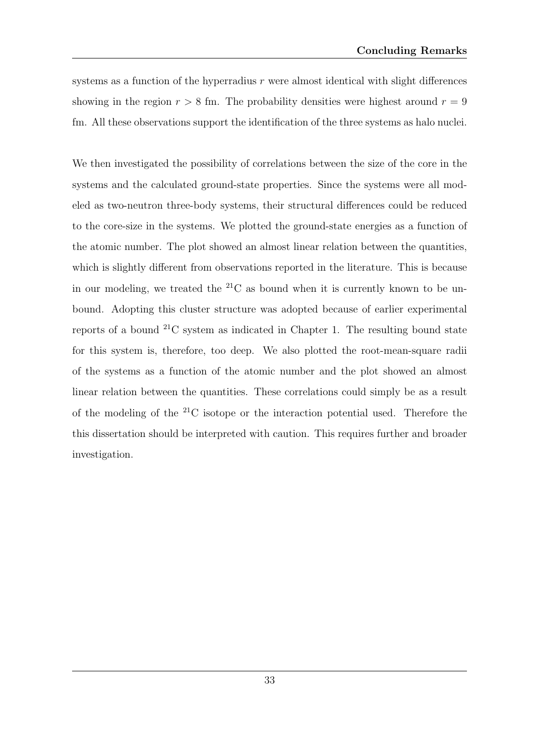systems as a function of the hyperradius  $r$  were almost identical with slight differences showing in the region  $r > 8$  fm. The probability densities were highest around  $r = 9$ fm. All these observations support the identification of the three systems as halo nuclei.

We then investigated the possibility of correlations between the size of the core in the systems and the calculated ground-state properties. Since the systems were all modeled as two-neutron three-body systems, their structural differences could be reduced to the core-size in the systems. We plotted the ground-state energies as a function of the atomic number. The plot showed an almost linear relation between the quantities, which is slightly different from observations reported in the literature. This is because in our modeling, we treated the  $^{21}C$  as bound when it is currently known to be unbound. Adopting this cluster structure was adopted because of earlier experimental reports of a bound  $^{21}$ C system as indicated in Chapter 1. The resulting bound state for this system is, therefore, too deep. We also plotted the root-mean-square radii of the systems as a function of the atomic number and the plot showed an almost linear relation between the quantities. These correlations could simply be as a result of the modeling of the  $^{21}$ C isotope or the interaction potential used. Therefore the this dissertation should be interpreted with caution. This requires further and broader investigation.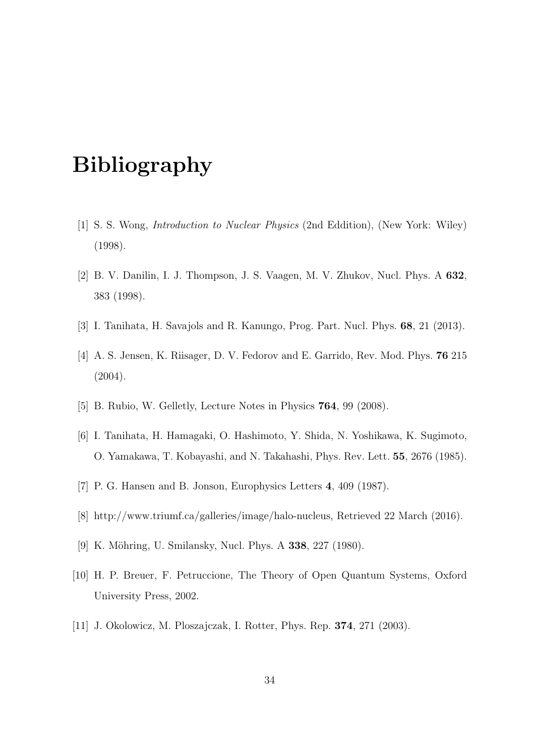## Bibliography

- [1] S. S. Wong, Introduction to Nuclear Physics (2nd Eddition), (New York: Wiley) (1998).
- [2] B. V. Danilin, I. J. Thompson, J. S. Vaagen, M. V. Zhukov, Nucl. Phys. A 632, 383 (1998).
- [3] I. Tanihata, H. Savajols and R. Kanungo, Prog. Part. Nucl. Phys. 68, 21 (2013).
- [4] A. S. Jensen, K. Riisager, D. V. Fedorov and E. Garrido, Rev. Mod. Phys. 76 215 (2004).
- [5] B. Rubio, W. Gelletly, Lecture Notes in Physics **764**, 99 (2008).
- [6] I. Tanihata, H. Hamagaki, O. Hashimoto, Y. Shida, N. Yoshikawa, K. Sugimoto, O. Yamakawa, T. Kobayashi, and N. Takahashi, Phys. Rev. Lett. 55, 2676 (1985).
- [7] P. G. Hansen and B. Jonson, Europhysics Letters 4, 409 (1987).
- [8] http://www.triumf.ca/galleries/image/halo-nucleus, Retrieved 22 March (2016).
- [9] K. Möhring, U. Smilansky, Nucl. Phys. A 338, 227 (1980).
- [10] H. P. Breuer, F. Petruccione, The Theory of Open Quantum Systems, Oxford University Press, 2002.
- [11] J. Okolowicz, M. Ploszajczak, I. Rotter, Phys. Rep. 374, 271 (2003).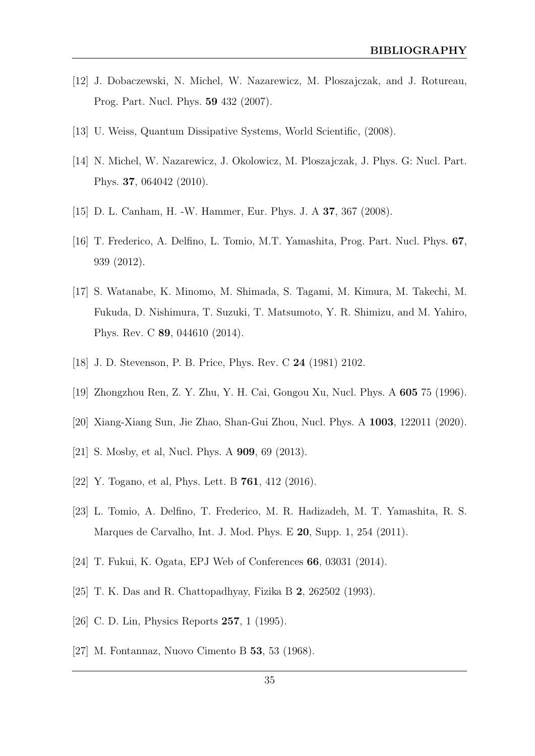- [12] J. Dobaczewski, N. Michel, W. Nazarewicz, M. Ploszajczak, and J. Rotureau, Prog. Part. Nucl. Phys. 59 432 (2007).
- [13] U. Weiss, Quantum Dissipative Systems, World Scientific, (2008).
- [14] N. Michel, W. Nazarewicz, J. Okolowicz, M. Ploszajczak, J. Phys. G: Nucl. Part. Phys. 37, 064042 (2010).
- [15] D. L. Canham, H. -W. Hammer, Eur. Phys. J. A 37, 367 (2008).
- [16] T. Frederico, A. Delfino, L. Tomio, M.T. Yamashita, Prog. Part. Nucl. Phys. 67, 939 (2012).
- [17] S. Watanabe, K. Minomo, M. Shimada, S. Tagami, M. Kimura, M. Takechi, M. Fukuda, D. Nishimura, T. Suzuki, T. Matsumoto, Y. R. Shimizu, and M. Yahiro, Phys. Rev. C 89, 044610 (2014).
- [18] J. D. Stevenson, P. B. Price, Phys. Rev. C 24 (1981) 2102.
- [19] Zhongzhou Ren, Z. Y. Zhu, Y. H. Cai, Gongou Xu, Nucl. Phys. A 605 75 (1996).
- [20] Xiang-Xiang Sun, Jie Zhao, Shan-Gui Zhou, Nucl. Phys. A 1003, 122011 (2020).
- [21] S. Mosby, et al, Nucl. Phys. A **909**, 69 (2013).
- [22] Y. Togano, et al, Phys. Lett. B 761, 412 (2016).
- [23] L. Tomio, A. Delfino, T. Frederico, M. R. Hadizadeh, M. T. Yamashita, R. S. Marques de Carvalho, Int. J. Mod. Phys. E 20, Supp. 1, 254 (2011).
- [24] T. Fukui, K. Ogata, EPJ Web of Conferences 66, 03031 (2014).
- [25] T. K. Das and R. Chattopadhyay, Fizika B 2, 262502 (1993).
- [26] C. D. Lin, Physics Reports 257, 1 (1995).
- [27] M. Fontannaz, Nuovo Cimento B 53, 53 (1968).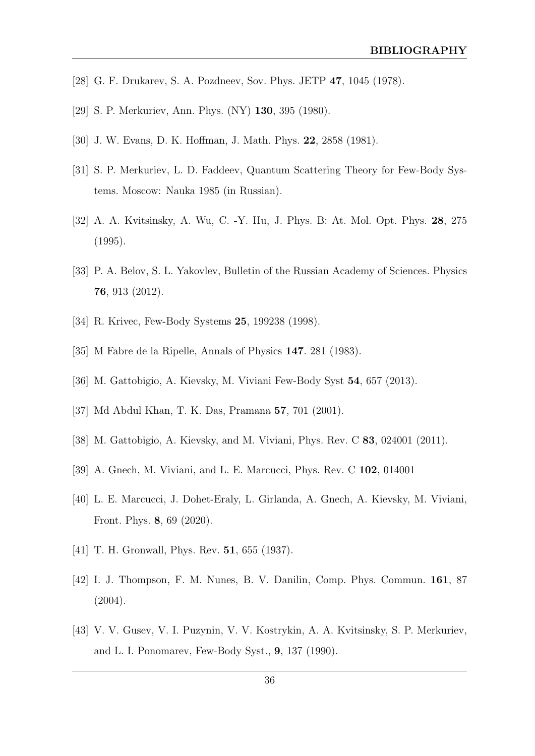- [28] G. F. Drukarev, S. A. Pozdneev, Sov. Phys. JETP 47, 1045 (1978).
- [29] S. P. Merkuriev, Ann. Phys. (NY) 130, 395 (1980).
- [30] J. W. Evans, D. K. Hoffman, J. Math. Phys. 22, 2858 (1981).
- [31] S. P. Merkuriev, L. D. Faddeev, Quantum Scattering Theory for Few-Body Systems. Moscow: Nauka 1985 (in Russian).
- [32] A. A. Kvitsinsky, A. Wu, C. -Y. Hu, J. Phys. B: At. Mol. Opt. Phys. 28, 275 (1995).
- [33] P. A. Belov, S. L. Yakovlev, Bulletin of the Russian Academy of Sciences. Physics 76, 913 (2012).
- [34] R. Krivec, Few-Body Systems 25, 199238 (1998).
- [35] M Fabre de la Ripelle, Annals of Physics 147. 281 (1983).
- [36] M. Gattobigio, A. Kievsky, M. Viviani Few-Body Syst 54, 657 (2013).
- [37] Md Abdul Khan, T. K. Das, Pramana 57, 701 (2001).
- [38] M. Gattobigio, A. Kievsky, and M. Viviani, Phys. Rev. C 83, 024001 (2011).
- [39] A. Gnech, M. Viviani, and L. E. Marcucci, Phys. Rev. C 102, 014001
- [40] L. E. Marcucci, J. Dohet-Eraly, L. Girlanda, A. Gnech, A. Kievsky, M. Viviani, Front. Phys. 8, 69 (2020).
- [41] T. H. Gronwall, Phys. Rev. **51**, 655 (1937).
- [42] I. J. Thompson, F. M. Nunes, B. V. Danilin, Comp. Phys. Commun. 161, 87 (2004).
- [43] V. V. Gusev, V. I. Puzynin, V. V. Kostrykin, A. A. Kvitsinsky, S. P. Merkuriev, and L. I. Ponomarev, Few-Body Syst., 9, 137 (1990).